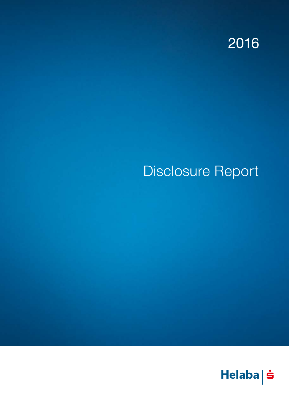# 2016

# Disclosure Report

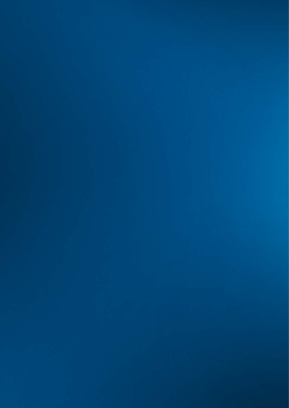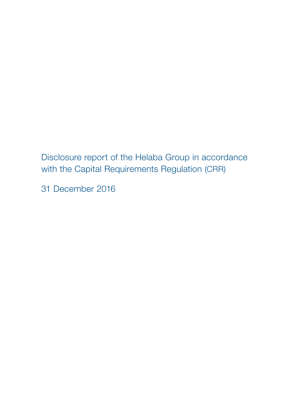Disclosure report of the Helaba Group in accordance with the Capital Requirements Regulation (CRR)

31 December 2016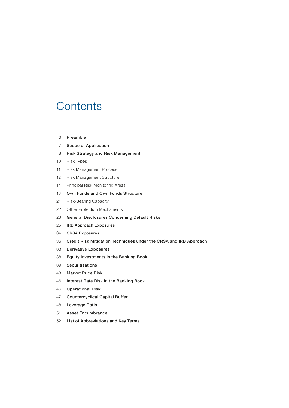### **Contents**

- [Preamble](#page-5-0)
- [Scope of Application](#page-6-0)
- [Risk Strategy and Risk Management](#page-7-0)
- [Risk Types](#page-9-0)
- [Risk Management Process](#page-10-0)
- [Risk Management Structure](#page-11-0)
- [Principal Risk Monitoring Areas](#page-13-0)
- [Own Funds and Own Funds Structure](#page-17-0)
- [Risk-Bearing Capacity](#page-20-0)
- [Other Protection Mechanisms](#page-21-0)
- [General Disclosures Concerning Default Risks](#page-22-0)
- [IRB Approach Exposures](#page-24-0)
- [CRSA Exposures](#page-33-0)
- [Credit Risk Mitigation Techniques under the CRSA and IRB Approach](#page-35-0)
- [Derivative Exposures](#page-37-0)
- [Equity Investments in the Banking Book](#page-37-0)
- [Securitisations](#page-38-0)
- [Market Price Risk](#page-42-0)
- [Interest Rate Risk in the Banking Book](#page-45-0)
- [Operational Risk](#page-45-0)
- [Countercyclical Capital Buffer](#page-46-0)
- [Leverage Ratio](#page-47-0)
- [Asset Encumbrance](#page-50-0)
- [List of Abbreviations and Key Terms](#page-51-0)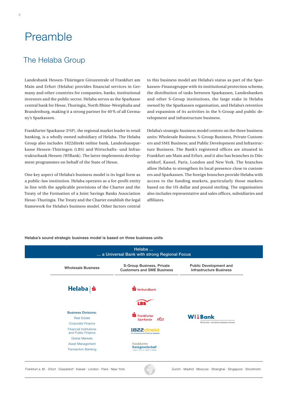### <span id="page-5-0"></span>Preamble

### The Helaba Group

Landesbank Hessen-Thüringen Girozentrale of Frankfurt am Main and Erfurt (Helaba) provides financial services in Germany and other countries for companies, banks, institutional investors and the public sector. Helaba serves as the Sparkasse central bank for Hesse, Thuringia, North Rhine-Westphalia and Brandenburg, making it a strong partner for 40 % of all Germany's Sparkassen.

Frankfurter Sparkasse (FSP), the regional market leader in retail banking, is a wholly owned subsidiary of Helaba. The Helaba Group also includes 1822direkt online bank, Landesbausparkasse Hessen-Thüringen (LBS) and Wirtschafts- und Infrastrukturbank Hessen (WIBank). The latter implements development programmes on behalf of the State of Hesse.

One key aspect of Helaba's business model is its legal form as a public-law institution. Helaba operates as a for-profit entity in line with the applicable provisions of the Charter and the Treaty of the Formation of a Joint Savings Banks Association Hesse-Thuringia. The Treaty and the Charter establish the legal framework for Helaba's business model. Other factors central

to this business model are Helaba's status as part of the Sparkassen-Finanzgruppe with its institutional protection scheme, the distribution of tasks between Sparkassen, Landesbanken and other S-Group institutions, the large stake in Helaba owned by the Sparkassen organisation, and Helaba's retention and expansion of its activities in the S-Group and public development and infrastructure business.

Helaba's strategic business model centres on the three business units: Wholesale Business; S-Group Business, Private Customers and SME Business; and Public Development and Infrastructure Business. The Bank's registered offices are situated in Frankfurt am Main and Erfurt, and it also has branches in Düsseldorf, Kassel, Paris, London and New York. The branches allow Helaba to strengthen its local presence close to customers and Sparkassen. The foreign branches provide Helaba with access to the funding markets, particularly those markets based on the US dollar and pound sterling. The organisation also includes representative and sales offices, subsidiaries and affiliates.

### Helaba's sound strategic business model is based on three business units

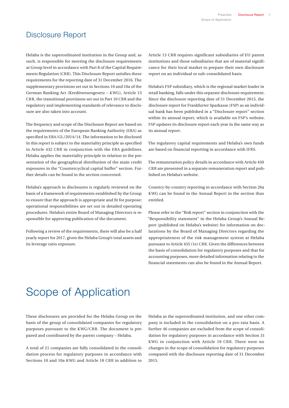### <span id="page-6-0"></span>Disclosure Report

Helaba is the superordinated institution in the Group and, as such, is responsible for meeting the disclosure requirements at Group level in accordance with Part 8 of the Capital Requirements Regulation (CRR). This Disclosure Report satisfies these requirements for the reporting date of 31 December 2016. The supplementary provisions set out in Sections 10 and 10a of the German Banking Act (Kreditwesengesetz – KWG), Article 13 CRR, the transitional provisions set out in Part 10 CRR and the regulatory and implementing standards of relevance to disclosure are also taken into account.

The frequency and scope of the Disclosure Report are based on the requirements of the European Banking Authority (EBA) as specified in EBA/GL/2014/14. The information to be disclosed in this report is subject to the materiality principle as specified in Article 432 CRR in conjunction with the EBA guidelines. Helaba applies the materiality principle in relation to the presentation of the geographical distribution of the main credit exposures in the "Countercyclical capital buffer" section. Further details can be found in the section concerned.

Helaba's approach to disclosures is regularly reviewed on the basis of a framework of requirements established by the Group to ensure that the approach is appropriate and fit for purpose; operational responsibilities are set out in detailed operating procedures. Helaba's entire Board of Managing Directors is responsible for approving publication of the document.

Following a review of the requirements, there will also be a half yearly report for 2017, given the Helaba Group's total assets and its leverage ratio exposure.

Article 13 CRR requires significant subsidiaries of EU parent institutions and those subsidiaries that are of material significance for their local market to prepare their own disclosure report on an individual or sub-consolidated basis.

Helaba's FSP subsidiary, which is the regional market leader in retail banking, falls under this separate disclosure requirement. Since the disclosure reporting date of 31 December 2015, the disclosure report for Frankfurter Sparkasse (FSP) as an individual bank has been published in a "Disclosure report" section within its annual report, which is available on FSP's website. FSP updates its disclosure report each year in the same way as its annual report.

The regulatory capital requirements and Helaba's own funds are based on financial reporting in accordance with IFRS.

The remuneration policy details in accordance with Article 450 CRR are presented in a separate remuneration report and published on Helaba's website.

Country-by-country reporting in accordance with Section 26a KWG can be found in the Annual Report in the section thus entitled.

Please refer to the "Risk report" section in conjunction with the "Responsibility statement" in the Helaba Group's Annual Report (published on Helaba's website) for information on declarations by the Board of Managing Directors regarding the appropriateness of the risk management system at Helaba pursuant to Article 435 (1e) CRR. Given the differences between the basis of consolidation for regulatory purposes and that for accounting purposes, more detailed information relating to the financial statements can also be found in the Annual Report.

### Scope of Application

These disclosures are provided for the Helaba Group on the basis of the group of consolidated companies for regulatory purposes pursuant to the KWG/CRR. The document is prepared and coordinated by the parent company – Helaba.

A total of 21 companies are fully consolidated in the consolidation process for regulatory purposes in accordance with Sections 10 and 10a KWG and Article 18 CRR in addition to

Helaba as the superordinated institution, and one other company is included in the consolidation on a pro-rata basis. A further 46 companies are excluded from the scope of consolidation for regulatory purposes in accordance with Section 31 KWG in conjunction with Article 19 CRR. There were no changes in the scope of consolidation for regulatory purposes compared with the disclosure reporting date of 31 December 2015.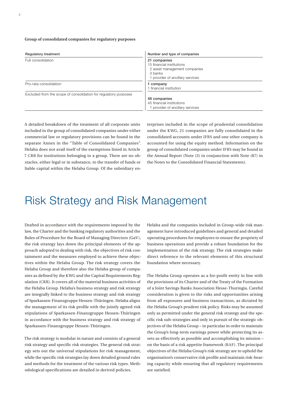### <span id="page-7-0"></span>**Group of consolidated companies for regulatory purposes**

| <b>Regulatory treatment</b>                                      | Number and type of companies                                                                                             |
|------------------------------------------------------------------|--------------------------------------------------------------------------------------------------------------------------|
| Full consolidation                                               | 21 companies<br>15 financial institutions<br>2 asset management companies<br>3 banks<br>1 provider of ancillary services |
| Pro-rata consolidation                                           | 1 company<br>financial institution                                                                                       |
| Excluded from the scope of consolidation for regulatory purposes | 46 companies<br>45 financial institutions<br>provider of ancillary services                                              |

A detailed breakdown of the treatment of all corporate units included in the group of consolidated companies under either commercial law or regulatory provisions can be found in the separate Annex in the "Table of Consolidated Companies". Helaba does not avail itself of the exemptions listed in Article 7 CRR for institutions belonging to a group. There are no obstacles, either legal or in substance, to the transfer of funds or liable capital within the Helaba Group. Of the subsidiary en-

terprises included in the scope of prudential consolidation under the KWG, 21 companies are fully consolidated in the consolidated accounts under IFRS and one other company is accounted for using the equity method. Information on the group of consolidated companies under IFRS may be found in the Annual Report (Note (3) in conjunction with Note (87) in the Notes to the Consolidated Financial Statements).

### Risk Strategy and Risk Management

Drafted in accordance with the requirements imposed by the law, the Charter and the banking regulatory authorities and the Rules of Procedure for the Board of Managing Directors (GaV), the risk strategy lays down the principal elements of the approach adopted to dealing with risk, the objectives of risk containment and the measures employed to achieve these objectives within the Helaba Group. The risk strategy covers the Helaba Group and therefore also the Helaba group of companies as defined by the KWG and the Capital Requirements Regulation (CRR). It covers all of the material business activities of the Helaba Group. Helaba's business strategy and risk strategy are integrally linked to the business strategy and risk strategy of Sparkassen-Finanzgruppe Hessen-Thüringen. Helaba aligns the management of its risk profile with the jointly agreed risk stipulations of Sparkassen-Finanzgruppe Hessen-Thüringen in accordance with the business strategy and risk strategy of Sparkassen-Finanzgruppe Hessen-Thüringen.

The risk strategy is modular in nature and consists of a general risk strategy and specific risk strategies. The general risk strategy sets out the universal stipulations for risk management, while the specific risk strategies lay down detailed ground rules and methods for the treatment of the various risk types. Methodological specifications are detailed in derived policies.

Helaba and the companies included in Group-wide risk management have introduced guidelines and general and detailed operating procedures for employees to ensure the propriety of business operations and provide a robust foundation for the implementation of the risk strategy. The risk strategies make direct reference to the relevant elements of this structural foundation where necessary.

The Helaba Group operates as a for-profit entity in line with the provisions of its Charter and of the Treaty of the Formation of a Joint Savings Banks Association Hesse-Thuringia. Careful consideration is given to the risks and opportunities arising from all exposures and business transactions, as dictated by the Helaba Group's prudent risk policy. Risks may be assumed only as permitted under the general risk strategy and the specific risk sub-strategies and only in pursuit of the strategic objectives of the Helaba Group – in particular in order to maintain the Group's long-term earnings power while protecting its assets as effectively as possible and accomplishing its mission – on the basis of a risk appetite framework (RAF). The principal objectives of the Helaba Group's risk strategy are to uphold the organisation's conservative risk profile and maintain risk-bearing capacity while ensuring that all regulatory requirements are satisfied.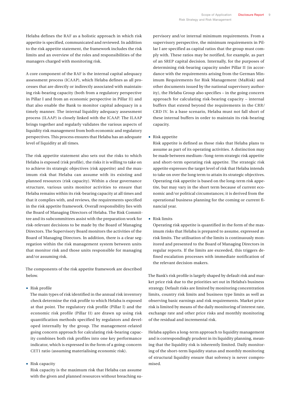Helaba defines the RAF as a holistic approach in which risk appetite is specified, communicated and reviewed. In addition to the risk appetite statement, the framework includes the risk limits and an overview of the roles and responsibilities of the managers charged with monitoring risk.

A core component of the RAF is the internal capital adequacy assessment process (ICAAP), which Helaba defines as all processes that are directly or indirectly associated with maintaining risk-bearing capacity (both from a regulatory perspective in Pillar I and from an economic perspective in Pillar II) and that also enable the Bank to monitor capital adequacy in a timely manner. The internal liquidity adequacy assessment process (ILAAP) is closely linked with the ICAAP. The ILAAP brings together and regularly validates the various aspects of liquidity risk management from both economic and regulatory perspectives. This process ensures that Helaba has an adequate level of liquidity at all times.

The risk appetite statement also sets out the risks to which Helaba is exposed (risk profile), the risks it is willing to take on to achieve its strategic objectives (risk appetite) and the maximum risk that Helaba can assume with its existing and planned resources (risk capacity). Within a clear governance structure, various units monitor activities to ensure that Helaba remains within its risk-bearing capacity at all times and that it complies with, and reviews, the requirements specified in the risk appetite framework. Overall responsibility lies with the Board of Managing Directors of Helaba. The Risk Committee and its subcommittees assist with the preparation work for risk-relevant decisions to be made by the Board of Managing Directors. The Supervisory Board monitors the activities of the Board of Managing Directors. In addition, there is a clear segregation within the risk management system between units that monitor risk and those units responsible for managing and/or assuming risk.

The components of the risk appetite framework are described below.

■ Risk profile

The main types of risk identified in the annual risk inventory check determine the risk profile to which Helaba is exposed at that point. The regulatory risk profile (Pillar I) and the economic risk profile (Pillar II) are drawn up using risk quantification methods specified by regulators and developed internally by the group. The management-related going concern approach for calculating risk-bearing capacity combines both risk profiles into one key performance indicator, which is expressed in the form of a going-concern CET1 ratio (assuming materialising economic risk).

■ Risk capacity

Risk capacity is the maximum risk that Helaba can assume with the given and planned resources without breaching supervisory and/or internal minimum requirements. From a supervisory perspective, the minimum requirements in Pillar I are specified as capital ratios that the group must comply with. These ratios may be notified, for example, as part of an SREP capital decision. Internally, for the purposes of determining risk-bearing capacity under Pillar II (in accordance with the requirements arising from the German Minimum Requirements for Risk Management (MaRisk) and other documents issued by the national supervisory authority), the Helaba Group also specifies – in the going concern approach for calculating risk-bearing capacity – internal buffers that extend beyond the requirements in the CRR/ CRD IV. In a base scenario, Helaba must not fall short of these internal buffers in order to maintain its risk-bearing capacity.

■ Risk appetite

Risk appetite is defined as those risks that Helaba plans to assume as part of its operating activities. A distinction may be made between medium-/long-term strategic risk appetite and short-term operating risk appetite. The strategic risk appetite expresses the target level of risk that Helaba intends to take on over the long term to attain its strategic objectives. Operating risk appetite is based on the long-term risk appetite, but may vary in the short term because of current economic and/or political circumstances; it is derived from the operational business planning for the coming or current financial year.

■ Risk limits

Operating risk appetite is quantified in the form of the maximum risks that Helaba is prepared to assume, expressed as risk limits. The utilisation of the limits is continuously monitored and presented to the Board of Managing Directors in regular reports. If the limits are exceeded, this triggers defined escalation processes with immediate notification of the relevant decision-makers.

The Bank's risk profile is largely shaped by default risk and market price risk due to the priorities set out in Helaba's business strategy. Default risks are limited by monitoring concentration limits, country risk limits and business type limits as well as observing basic earnings and risk requirements. Market price risk is limited by means of the daily monitoring of interest rate, exchange rate and other price risks and monthly monitoring of the residual and incremental risk.

Helaba applies a long-term approach to liquidity management and is correspondingly prudent in its liquidity planning, meaning that the liquidity risk is inherently limited. Daily monitoring of the short-term liquidity status and monthly monitoring of structural liquidity ensure that solvency is never compromised.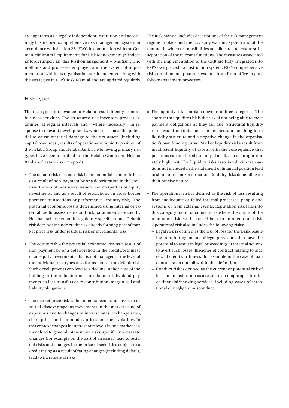<span id="page-9-0"></span>FSP operates as a legally independent institution and accordingly has its own comprehensive risk management system in accordance with Section 25a KWG in conjunction with the German Minimum Requirements for Risk Management (Mindestanforderungen an das Risikomanagement – MaRisk). The methods and processes employed and the system of implementation within its organisation are documented along with the strategies in FSP's Risk Manual and are updated regularly.

Risk Types

The risk types of relevance to Helaba result directly from its business activities. The structured risk inventory process examines, at regular intervals and – where necessary – in response to relevant developments, which risks have the potential to cause material damage to the net assets (including capital resources), results of operations or liquidity position of the Helaba Group and Helaba Bank. The following primary risk types have been identified for the Helaba Group and Helaba Bank (real estate risk excepted).

- The default risk or credit risk is the potential economic loss as a result of non-payment by or a deterioration in the creditworthiness of borrowers, issuers, counterparties or equity investments and as a result of restrictions on cross-border payment transactions or performance (country risk). The potential economic loss is determined using internal or external credit assessments and risk parameters assessed by Helaba itself or set out in regulatory specifications. Default risk does not include credit risk already forming part of market price risk under residual risk or incremental risk.
- The equity risk the potential economic loss as a result of non-payment by or a deterioration in the creditworthiness of an equity investment – that is not managed at the level of the individual risk types also forms part of the default risk. Such developments can lead to a decline in the value of the holding or the reduction or cancellation of dividend payments, to loss transfers or to contribution, margin call and liability obligations.
- The market price risk is the potential economic loss as a result of disadvantageous movements in the market value of exposures due to changes in interest rates, exchange rates, share prices and commodity prices and their volatility. In this context changes in interest rate levels in one market segment lead to general interest rate risks, specific interest rate changes (for example on the part of an issuer) lead to residual risks and changes in the price of securities subject to a credit rating as a result of rating changes (including default) lead to incremental risks.

The Risk Manual includes descriptions of the risk management regime in place and the risk early warning system and of the manner in which responsibilities are allocated to ensure strict separation of the relevant functions. The measures associated with the implementation of the CRR are fully integrated into FSP's own procedural instruction system. FSP's comprehensive risk containment apparatus extends from front office to portfolio management processes.

- The liquidity risk is broken down into three categories. The short-term liquidity risk is the risk of not being able to meet payment obligations as they fall due. Structural liquidity risks result from imbalances in the medium- and long-term liquidity structure and a negative change in the organisation's own funding curve. Market liquidity risks result from insufficient liquidity of assets, with the consequence that positions can be closed out only, if at all, at a disproportionately high cost. The liquidity risks associated with transactions not included in the statement of financial position lead to short-term and/or structural liquidity risks depending on their precise nature.
- The operational risk is defined as the risk of loss resulting from inadequate or failed internal processes, people and systems or from external events. Reputation risk falls into this category too in circumstances where the origin of the reputation risk can be traced back to an operational risk. Operational risk also includes the following risks:
	- Legal risk is defined as the risk of loss for the Bank resulting from infringements of legal provisions that have the potential to result in legal proceedings or internal actions to avert such losses. Breaches of contract relating to matters of creditworthiness (for example in the case of loan contracts) do not fall within this definition.
	- Conduct risk is defined as the current or potential risk of loss for an institution as a result of an inappropriate offer of financial/banking services, including cases of intentional or negligent misconduct.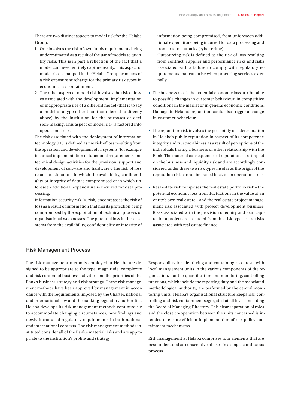- <span id="page-10-0"></span>– There are two distinct aspects to model risk for the Helaba Group.
	- 1. One involves the risk of own funds requirements being underestimated as a result of the use of models to quantify risks. This is in part a reflection of the fact that a model can never entirely capture reality. This aspect of model risk is mapped in the Helaba Group by means of a risk exposure surcharge for the primary risk types in economic risk containment.
	- 2. The other aspect of model risk involves the risk of losses associated with the development, implementation or inappropriate use of a different model (that is to say a model of a type other than that referred to directly above) by the institution for the purposes of decision-making. This aspect of model risk is factored into operational risk.
- The risk associated with the deployment of information technology (IT) is defined as the risk of loss resulting from the operation and development of IT systems (for example technical implementation of functional requirements and technical design activities for the provision, support and development of software and hardware). The risk of loss relates to situations in which the availability, confidentiality or integrity of data is compromised or in which unforeseen additional expenditure is incurred for data processing.
- Information security risk (IS risk) encompasses the risk of loss as a result of information that merits protection being compromised by the exploitation of technical, process or organisational weaknesses. The potential loss in this case stems from the availability, confidentiality or integrity of

information being compromised, from unforeseen additional expenditure being incurred for data processing and from external attacks (cyber crime).

- Outsourcing risk is defined as the risk of loss resulting from contract, supplier and performance risks and risks associated with a failure to comply with regulatory requirements that can arise when procuring services externally.
- The business risk is the potential economic loss attributable to possible changes in customer behaviour, in competitive conditions in the market or in general economic conditions. Damage to Helaba's reputation could also trigger a change in customer behaviour.
- The reputation risk involves the possibility of a deterioration in Helaba's public reputation in respect of its competence, integrity and trustworthiness as a result of perceptions of the individuals having a business or other relationship with the Bank. The material consequences of reputation risks impact on the business and liquidity risk and are accordingly considered under these two risk types insofar as the origin of the reputation risk cannot be traced back to an operational risk.
- Real estate risk comprises the real estate portfolio risk the potential economic loss from fluctuations in the value of an entity's own real estate – and the real estate project management risk associated with project development business. Risks associated with the provision of equity and loan capital for a project are excluded from this risk type, as are risks associated with real estate finance.

### Risk Management Process

The risk management methods employed at Helaba are designed to be appropriate to the type, magnitude, complexity and risk content of business activities and the priorities of the Bank's business strategy and risk strategy. These risk management methods have been approved by management in accordance with the requirements imposed by the Charter, national and international law and the banking regulatory authorities. Helaba develops its risk management methods continuously to accommodate changing circumstances, new findings and newly introduced regulatory requirements in both national and international contexts. The risk management methods instituted consider all of the Bank's material risks and are appropriate to the institution's profile and strategy.

Responsibility for identifying and containing risks rests with local management units in the various components of the organisation, but the quantification and monitoring/controlling functions, which include the reporting duty and the associated methodological authority, are performed by the central monitoring units. Helaba's organisational structure keeps risk controlling and risk containment segregated at all levels including the Board of Managing Directors. This clear separation of roles and the close co-operation between the units concerned is intended to ensure efficient implementation of risk policy containment mechanisms.

Risk management at Helaba comprises four elements that are best understood as consecutive phases in a single continuous process.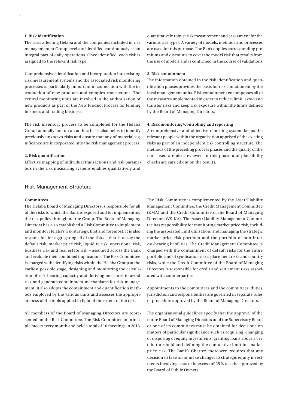### <span id="page-11-0"></span>**1. Risk identification**

The risks affecting Helaba and the companies included in risk management at Group level are identified continuously as an integral part of daily operations. Once identified, each risk is assigned to the relevant risk type.

Comprehensive identification and incorporation into existing risk measurement systems and the associated risk monitoring processes is particularly important in connection with the introduction of new products and complex transactions. The central monitoring units are involved in the authorisation of new products as part of the New Product Process for lending business and trading business.

The risk inventory process to be completed for the Helaba Group annually and on an ad hoc basis also helps to identify previously unknown risks and ensure that any of material significance are incorporated into the risk management process.

### **2. Risk quantification**

Effective mapping of individual transactions and risk parameters in the risk measuring systems enables qualitatively and

quantitatively robust risk measurement and assessment for the various risk types. A variety of models, methods and processes are used for this purpose. The Bank applies corresponding premiums and discounts to cover the model risk that results from the use of models and is confirmed in the course of validations.

### **3. Risk containment**

The information obtained in the risk identification and quantification phases provides the basis for risk containment by the local management units. Risk containment encompasses all of the measures implemented in order to reduce, limit, avoid and transfer risks and keep risk exposure within the limits defined by the Board of Managing Directors.

### **4. Risk monitoring/controlling and reporting**

A comprehensive and objective reporting system keeps the relevant people within the organisation apprised of the existing risks as part of an independent risk controlling structure. The methods of the preceding process phases and the quality of the data used are also reviewed in this phase and plausibility checks are carried out on the results.

### Risk Management Structure

### **Committees**

The Helaba Board of Managing Directors is responsible for all of the risks to which the Bank is exposed and for implementing the risk policy throughout the Group. The Board of Managing Directors has also established a Risk Committee to implement and monitor Helaba's risk strategy, first and foremost, It is also responsible for aggregating all of the risks – that is to say the default risk, market price risk, liquidity risk, operational risk, business risk and real estate risk – assumed across the Bank and evaluate their combined implications. The Risk Committee is charged with identifying risks within the Helaba Group at the earliest possible stage, designing and monitoring the calculation of risk-bearing capacity and deriving measures to avoid risk and generate containment mechanisms for risk management. It also adopts the containment and quantification methods employed by the various units and assesses the appropriateness of the tools applied in light of the extent of the risk.

All members of the Board of Managing Directors are represented on the Risk Committee. The Risk Committee in principle meets every month and held a total of 16 meetings in 2016. The Risk Committee is complemented by the Asset/Liability Management Committee, the Credit Management Committee (KMA) and the Credit Committee of the Board of Managing Directors (VS-KA). The Asset/Liability Management Committee has responsibility for monitoring market price risk, including the associated limit utilisation, and managing the strategic market price risk portfolio and the portfolio of non-interest-bearing liabilities. The Credit Management Committee is charged with the containment of default risks for the entire portfolio and of syndication risks, placement risks and country risks, while the Credit Committee of the Board of Managing Directors is responsible for credit and settlement risks associated with counterparties.

Appointments to the committees and the committees' duties, jurisdiction and responsibilities are governed in separate rules of procedure approved by the Board of Managing Directors.

The organisational guidelines specify that the approval of the entire Board of Managing Directors or of the Supervisory Board or one of its committees must be obtained for decisions on matters of particular significance such as acquiring, changing or disposing of equity investments, granting loans above a certain threshold and defining the cumulative limit for market price risk. The Bank's Charter, moreover, requires that any decision to take on or make changes to strategic equity investments involving a stake in excess of 25 % also be approved by the Board of Public Owners.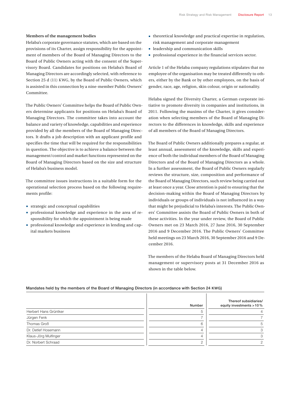#### **Members of the management bodies**

Helaba's corporate governance statutes, which are based on the provisions of its Charter, assign responsibility for the appointment of members of the Board of Managing Directors to the Board of Public Owners acting with the consent of the Supervisory Board. Candidates for positions on Helaba's Board of Managing Directors are accordingly selected, with reference to Section 25 d (11) KWG, by the Board of Public Owners, which is assisted in this connection by a nine-member Public Owners' Committee.

The Public Owners' Committee helps the Board of Public Owners determine applicants for positions on Helaba's Board of Managing Directors. The committee takes into account the balance and variety of knowledge, capabilities and experience provided by all the members of the Board of Managing Directors. It drafts a job description with an applicant profile and specifies the time that will be required for the responsibilities in question. The objective is to achieve a balance between the management/control and market functions represented on the Board of Managing Directors based on the size and structure of Helaba's business model.

The committee issues instructions in a suitable form for the operational selection process based on the following requirements profile:

- strategic and conceptual capabilities
- professional knowledge and experience in the area of responsibility for which the appointment is being made
- professional knowledge and experience in lending and capital markets business
- theoretical knowledge and practical expertise in regulation, risk management and corporate management
- leadership and communication skills
- professional experience in the financial services sector.

Article 1 of the Helaba company regulations stipulates that no employee of the organisation may be treated differently to others, either by the Bank or by other employees, on the basis of gender, race, age, religion, skin colour, origin or nationality.

Helaba signed the Diversity Charter, a German corporate initiative to promote diversity in companies and institutions, in 2011. Following the maxims of the Charter, it gives consideration when selecting members of the Board of Managing Directors to the differences in knowledge, skills and experience of all members of the Board of Managing Directors.

The Board of Public Owners additionally prepares a regular, at least annual, assessment of the knowledge, skills and experience of both the individual members of the Board of Managing Directors and of the Board of Managing Directors as a whole. In a further assessment, the Board of Public Owners regularly reviews the structure, size, composition and performance of the Board of Managing Directors, such review being carried out at least once a year. Close attention is paid to ensuring that the decision-making within the Board of Managing Directors by individuals or groups of individuals is not influenced in a way that might be prejudicial to Helaba's interests. The Public Owners' Committee assists the Board of Public Owners in both of these activities. In the year under review, the Board of Public Owners met on 23 March 2016, 27 June 2016, 30 September 2016 and 9 December 2016. The Public Owners' Committee held meetings on 23 March 2016, 30 September 2016 and 9 December 2016.

The members of the Helaba Board of Managing Directors held management or supervisory posts at 31 December 2016 as shown in the table below.

 $\overline{1}$ 

### Mandates held by the members of the Board of Managing Directors (in accordance with Section 24 KWG)

| Thereof subsidiaries/<br>equity investments > 10 %<br>Number |  |
|--------------------------------------------------------------|--|
| Herbert Hans Grüntker                                        |  |
| Jürgen Fenk                                                  |  |
| Thomas Groß                                                  |  |
| Dr. Detlef Hosemann                                          |  |
| Klaus-Jörg Mulfinger                                         |  |
| Dr. Norbert Schraad                                          |  |

 $\overline{1}$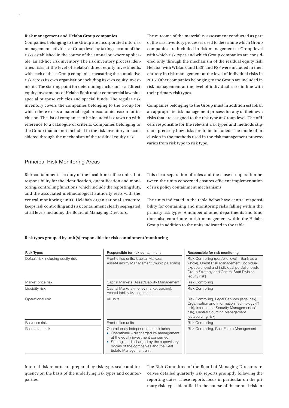### <span id="page-13-0"></span>**Risk management and Helaba Group companies**

Companies belonging to the Group are incorporated into risk management activities at Group level by taking account of the risks established in the course of the annual or, where applicable, an ad-hoc risk inventory. The risk inventory process identifies risks at the level of Helaba's direct equity investments, with each of these Group companies measuring the cumulative risk across its own organisation including its own equity investments. The starting point for determining inclusion is all direct equity investments of Helaba Bank under commercial law plus special purpose vehicles and special funds. The regular risk inventory covers the companies belonging to the Group for which there exists a material legal or economic reason for inclusion. The list of companies to be included is drawn up with reference to a catalogue of criteria. Companies belonging to the Group that are not included in the risk inventory are considered through the mechanism of the residual equity risk.

The outcome of the materiality assessment conducted as part of the risk inventory process is used to determine which Group companies are included in risk management at Group level with which risk types and which Group companies are considered only through the mechanism of the residual equity risk. Helaba (with WIBank and LBS) and FSP were included in their entirety in risk management at the level of individual risks in 2016. Other companies belonging to the Group are included in risk management at the level of individual risks in line with their primary risk types.

Companies belonging to the Group must in addition establish an appropriate risk management process for any of their own risks that are assigned to the risk type at Group level. The officers responsible for the relevant risk types and methods stipulate precisely how risks are to be included. The mode of inclusion in the methods used in the risk management process varies from risk type to risk type.

### Principal Risk Monitoring Areas

Risk containment is a duty of the local front office units, but responsibility for the identification, quantification and monitoring/controlling functions, which include the reporting duty, and the associated methodological authority rests with the central monitoring units. Helaba's organisational structure keeps risk controlling and risk containment clearly segregated at all levels including the Board of Managing Directors.

This clear separation of roles and the close co-operation between the units concerned ensures efficient implementation of risk policy containment mechanisms.

The units indicated in the table below have central responsibility for containing and monitoring risks falling within the primary risk types. A number of other departments and functions also contribute to risk management within the Helaba Group in addition to the units indicated in the table.

### **Risk types grouped by unit(s) responsible for risk containment/monitoring**

| <b>Risk Types</b>                  | Responsible for risk containment                                                                                                                                                                                                        | Responsible for risk monitoring                                                                                                                                                                              |
|------------------------------------|-----------------------------------------------------------------------------------------------------------------------------------------------------------------------------------------------------------------------------------------|--------------------------------------------------------------------------------------------------------------------------------------------------------------------------------------------------------------|
| Default risk including equity risk | Front office units, Capital Markets,<br>Asset/Liability Management (municipal loans)                                                                                                                                                    | Risk Controlling (portfolio level - Bank as a<br>whole), Credit Risk Management (individual<br>exposure level and individual portfolio level),<br>Group Strategy and Central Staff Division<br>(equity risk) |
| Market price risk                  | Capital Markets, Asset/Liability Management                                                                                                                                                                                             | <b>Risk Controlling</b>                                                                                                                                                                                      |
| Liquidity risk                     | Capital Markets (money market trading),<br>Asset/Liability Management                                                                                                                                                                   | <b>Risk Controlling</b>                                                                                                                                                                                      |
| Operational risk                   | All units                                                                                                                                                                                                                               | Risk Controlling, Legal Services (legal risk),<br>Organisation and Information Technology (IT<br>risk), Information Security Management (IS<br>risk), Central Sourcing Management<br>(outsourcing risk)      |
| Business risk                      | Front office units                                                                                                                                                                                                                      | <b>Risk Controlling</b>                                                                                                                                                                                      |
| Real estate risk                   | Operationally independent subsidiaries<br>• Operational – discharged by management<br>at the equity investment concerned<br>Strategic - discharged by the supervisory<br>bodies of the companies and the Real<br>Estate Management unit | Risk Controlling, Real Estate Management                                                                                                                                                                     |

Internal risk reports are prepared by risk type, scale and frequency on the basis of the underlying risk types and counterparties.

The Risk Committee of the Board of Managing Directors receives detailed quarterly risk reports promptly following the reporting dates. These reports focus in particular on the primary risk types identified in the course of the annual risk in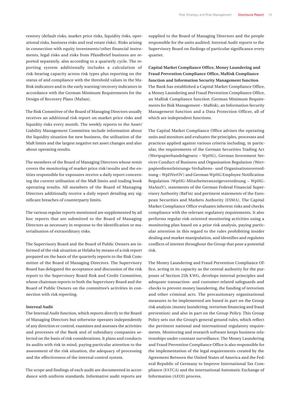ventory (default risks, market price risks, liquidity risks, operational risks, business risks and real estate risks). Risks arising in connection with equity investments/other financial instruments, legal risks and risks from Pfandbrief business are reported separately, also according to a quarterly cycle. The reporting system additionally includes a calculation of risk-bearing capacity across risk types plus reporting on the status of and compliance with the threshold values in the Ma-Risk indicators and in the early warning/recovery indicators in accordance with the German Minimum Requirements for the Design of Recovery Plans (MaSan).

The Risk Committee of the Board of Managing Directors usually receives an additional risk report on market price risks and liquidity risks every month. The weekly reports to the Asset/ Liability Management Committee include information about the liquidity situation for new business, the utilisation of the MaR limits and the largest negative net asset changes and also about operating results.

The members of the Board of Managing Directors whose remit covers the monitoring of market price risk/results and the entities responsible for exposures receive a daily report concerning the current utilisation of the MaR limits and trading book operating results. All members of the Board of Managing Directors additionally receive a daily report detailing any significant breaches of counterparty limits.

The various regular reports mentioned are supplemented by ad hoc reports that are submitted to the Board of Managing Directors as necessary in response to the identification or materialisation of extraordinary risks.

The Supervisory Board and the Board of Public Owners are informed of the risk situation at Helaba by means of a risk report prepared on the basis of the quarterly reports to the Risk Committee of the Board of Managing Directors. The Supervisory Board has delegated the acceptance and discussion of the risk report to the Supervisory Board Risk and Credit Committee, whose chairman reports to both the Supervisory Board and the Board of Public Owners on the committee's activities in connection with risk reporting.

#### **Internal Audit**

The Internal Audit function, which reports directly to the Board of Managing Directors but otherwise operates independently of any direction or control, examines and assesses the activities and processes of the Bank and of subsidiary companies selected on the basis of risk considerations. It plans and conducts its audits with risk in mind, paying particular attention to the assessment of the risk situation, the adequacy of processing and the effectiveness of the internal control system.

The scope and findings of each audit are documented in accordance with uniform standards. Informative audit reports are

supplied to the Board of Managing Directors and the people responsible for the units audited. Internal Audit reports to the Supervisory Board on findings of particular significance every quarter.

**Capital Market Compliance Office, Money Laundering and Fraud Prevention Compliance Office, MaRisk Compliance function and Information Security Management function** The Bank has established a Capital Market Compliance Office, a Money Laundering and Fraud Prevention Compliance Office, an MaRisk Compliance function (German Minimum Requirements for Risk Management – MaRisk), an Information Security Management function and a Data Protection Officer, all of which are independent functions.

The Capital Market Compliance Office advises the operating units and monitors and evaluates the principles, processes and practices applied against various criteria including, in particular, the requirements of the German Securities Trading Act (Wertpapierhandelsgesetz – WpHG), German Investment Services Conduct of Business and Organisation Regulation (Wertpapierdienstleistungs-Verhaltens- und Organisationsverordnung – WpDVerOV) and German WpHG Employee Notification Regulation (WpHG-Mitarbeiteranzeigeverordnung – WpHG-MaAnzV), statements of the German Federal Financial Supervisory Authority (BaFin) and pertinent statements of the European Securities and Markets Authority (ESMA). The Capital Market Compliance Office evaluates inherent risks and checks compliance with the relevant regulatory requirements. It also performs regular risk-oriented monitoring activities using a monitoring plan based on a prior risk analysis, paying particular attention in this regard to the rules prohibiting insider dealing and market manipulation, and identifies and regulates conflicts of interest throughout the Group that pose a potential risk.

The Money Laundering and Fraud Prevention Compliance Office, acting in its capacity as the central authority for the purposes of Section 25h KWG, develops internal principles and adequate transaction- and customer-related safeguards and checks to prevent money laundering, the funding of terrorism and other criminal acts. The precautionary organisational measures to be implemented are based in part on the Group risk analysis (money laundering, terrorism financing and fraud prevention) and also in part on the Group Policy. This Group Policy sets out the Group's general ground rules, which reflect the pertinent national and international regulatory requirements. Monitoring and research software keeps business relationships under constant surveillance. The Money Laundering and Fraud Prevention Compliance Office is also responsible for the implementation of the legal requirements created by the Agreement Between the United States of America and the Federal Republic of Germany to Improve International Tax Compliance (FATCA) and the international Automatic Exchange of Information (AEOI) process.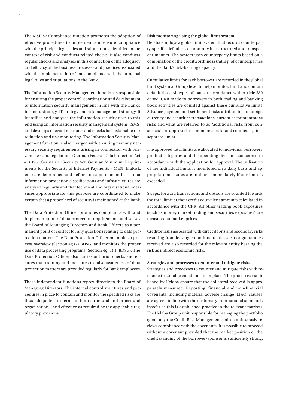The MaRisk Compliance function promotes the adoption of effective procedures to implement and ensure compliance with the principal legal rules and stipulations identified in the context of risk and conducts related checks. It also conducts regular checks and analyses in this connection of the adequacy and efficacy of the business processes and practices associated with the implementation of and compliance with the principal legal rules and stipulations in the Bank.

The Information Security Management function is responsible for ensuring the proper control, coordination and development of information security management in line with the Bank's business strategy, IT strategy and risk management strategy. It identifies and analyses the information security risks to this end using an information security management system (ISMS) and develops relevant measures and checks for sustainable risk reduction and risk monitoring. The Information Security Management function is also charged with ensuring that any necessary security requirements arising in connection with relevant laws and regulations (German Federal Data Protection Act – BDSG, German IT Security Act, German Minimum Requirements for the Security of Internet Payments – MaSI, MaRisk, etc.) are determined and defined on a permanent basis, that information protection classifications and infrastructures are analysed regularly and that technical and organisational measures appropriate for this purpose are coordinated to make certain that a proper level of security is maintained at the Bank.

The Data Protection Officer promotes compliance with and implementation of data protection requirements and serves the Board of Managing Directors and Bank Officers as a permanent point of contact for any questions relating to data protection matters. The Data Protection Officer maintains a process overview (Section 4g (2) BDSG) and monitors the proper use of data processing programs (Section 4g (1) 1. BDSG). The Data Protection Officer also carries out prior checks and ensures that training and measures to raise awareness of data protection matters are provided regularly for Bank employees.

These independent functions report directly to the Board of Managing Directors. The internal control structures and procedures in place to contain and monitor the specified risks are thus adequate – in terms of both structural and procedural organisation – and effective as required by the applicable regulatory provisions.

#### **Risk monitoring using the global limit system**

Helaba employs a global limit system that records counterparty-specific default risks promptly in a structured and transparent manner. The system uses counterparty limits based on a combination of the creditworthiness (rating) of counterparties and the Bank's risk-bearing capacity.

Cumulative limits for each borrower are recorded in the global limit system at Group level to help monitor, limit and contain default risks. All types of loans in accordance with Article 389 et seq. CRR made to borrowers in both trading and banking book activities are counted against these cumulative limits. Advance payment and settlement risks attributable to foreign currency and securities transactions, current account intraday risks and what are referred to as "additional risks from constructs" are approved as commercial risks and counted against separate limits.

The approved total limits are allocated to individual borrowers, product categories and the operating divisions concerned in accordance with the application for approval. The utilisation of the individual limits is monitored on a daily basis and appropriate measures are initiated immediately if any limit is exceeded.

Swaps, forward transactions and options are counted towards the total limit at their credit equivalent amounts calculated in accordance with the CRR. All other trading book exposures (such as money market trading and securities exposures) are measured at market prices.

Creditor risks associated with direct debits and secondary risks resulting from leasing commitments (lessees) or guarantees received are also recorded for the relevant entity bearing the risk as indirect economic risks.

### **Strategies and processes to counter and mitigate risks**

Strategies and processes to counter and mitigate risks with recourse to suitable collateral are in place. The processes established by Helaba ensure that the collateral received is appropriately measured. Reporting, financial and non-financial covenants, including material adverse change (MAC) clauses, are agreed in line with the customary international standards insofar as this is established practice in the relevant markets. The Helaba Group unit responsible for managing the portfolio (generally the Credit Risk Management unit) continuously reviews compliance with the covenants. It is possible to proceed without a covenant provided that the market position or the credit standing of the borrower/sponsor is sufficiently strong.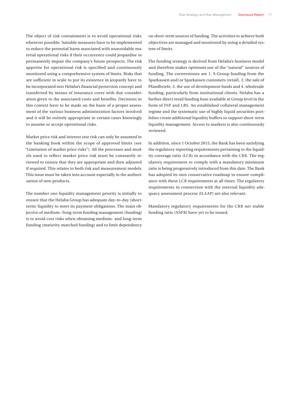The object of risk containment is to avoid operational risks wherever possible. Suitable measures have to be implemented to reduce the potential harm associated with unavoidable material operational risks if their occurrence could jeopardise or permanently impair the company's future prospects. The risk appetite for operational risk is specified and continuously monitored using a comprehensive system of limits. Risks that are sufficient in scale to put its existence in jeopardy have to be incorporated into Helaba's financial protection concept and transferred by means of insurance cover with due consideration given to the associated costs and benefits. Decisions in this context have to be made on the basis of a proper assessment of the various business administration factors involved and it will be entirely appropriate in certain cases knowingly to assume or accept operational risks.

Market price risk and interest rate risk can only be assumed in the banking book within the scope of approved limits (see "Limitation of market price risks"). All the processes and models used to reflect market price risk must be constantly reviewed to ensure that they are appropriate and then adjusted if required. This relates to both risk and measurement models. This issue must be taken into account especially in the authorisation of new products.

The number one liquidity management priority is initially to ensure that the Helaba Group has adequate day-to-day (shortterm) liquidity to meet its payment obligations. The main objective of medium-/long-term funding management (funding) is to avoid cost risks when obtaining medium- and long-term funding (maturity-matched funding) and to limit dependency

on short-term sources of funding. The activities to achieve both objectives are managed and monitored by using a detailed system of limits.

The funding strategy is derived from Helaba's business model and therefore makes optimum use of the "natural" sources of funding. The cornerstones are 1. S-Group funding from the Sparkassen and/or Sparkassen customers (retail), 2. the sale of Pfandbriefe, 3. the use of development funds and 4. wholesale funding, particularly from institutional clients. Helaba has a further direct retail funding base available at Group level in the form of FSP and LBS. An established collateral management regime and the systematic use of highly liquid securities portfolios create additional liquidity buffers to support short-term liquidity management. Access to markets is also continuously reviewed.

In addition, since 1 October 2015, the Bank has been satisfying the regulatory reporting requirements pertaining to the liquidity coverage ratio (LCR) in accordance with the CRR. The regulatory requirement to comply with a mandatory minimum ratio is being progressively introduced from this date. The Bank has adopted its own conservative roadmap to ensure compliance with these LCR requirements at all times. The regulatory requirements in connection with the internal liquidity adequacy assessment process (ILAAP) are also relevant.

Mandatory regulatory requirements for the CRR net stable funding ratio (NSFR) have yet to be issued.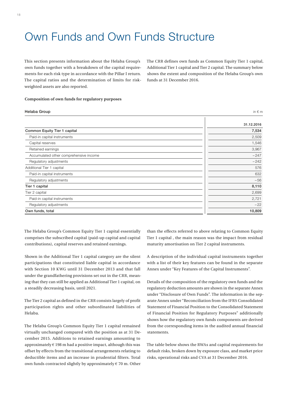### <span id="page-17-0"></span>Own Funds and Own Funds Structure

This section presents information about the Helaba Group's own funds together with a breakdown of the capital requirements for each risk type in accordance with the Pillar I return. The capital ratios and the determination of limits for riskweighted assets are also reported.

The CRR defines own funds as Common Equity Tier 1 capital, Additional Tier 1 capital and Tier 2 capital. The summary below shows the extent and composition of the Helaba Group's own funds at 31 December 2016.

### **Composition of own funds for regulatory purposes**

| Helaba Group                           | in $\epsilon$ m |
|----------------------------------------|-----------------|
|                                        | 31.12.2016      |
| Common Equity Tier 1 capital           | 7,534           |
| Paid-in capital instruments            | 2,509           |
| Capital reserves                       | 1,546           |
| Retained earnings                      | 3,967           |
| Accumulated other comprehensive income | $-247$          |
| Regulatory adjustments                 | $-242$          |
| Additional Tier 1 capital              | 576             |
| Paid-in capital instruments            | 632             |
| Regulatory adjustments                 | $-56$           |
| Tier 1 capital                         | 8,110           |
| Tier 2 capital                         | 2,699           |
| Paid-in capital instruments            | 2,721           |
| Regulatory adjustments                 | $-22$           |
| Own funds, total                       | 10,809          |

The Helaba Group's Common Equity Tier 1 capital essentially comprises the subscribed capital (paid-up capital and capital contributions), capital reserves and retained earnings.

Shown in the Additional Tier 1 capital category are the silent participations that constituted liable capital in accordance with Section 10 KWG until 31 December 2013 and that fall under the grandfathering provisions set out in the CRR, meaning that they can still be applied as Additional Tier 1 capital, on a steadily decreasing basis, until 2021.

The Tier 2 capital as defined in the CRR consists largely of profit participation rights and other subordinated liabilities of Helaba.

The Helaba Group's Common Equity Tier 1 capital remained virtually unchanged compared with the position as at 31 December 2015. Additions to retained earnings amounting to approximately  $\epsilon$  198 m had a positive impact, although this was offset by effects from the transitional arrangements relating to deductible items and an increase in prudential filters. Total own funds contracted slightly by approximately  $\epsilon$  70 m. Other

than the effects referred to above relating to Common Equity Tier 1 capital , the main reason was the impact from residual maturity amortisation on Tier 2 capital instruments.

A description of the individual capital instruments together with a list of their key features can be found in the separate Annex under "Key Features of the Capital Instruments".

Details of the composition of the regulatory own funds and the regulatory deduction amounts are shown in the separate Annex under "Disclosure of Own Funds". The information in the separate Annex under "Reconciliation from the IFRS Consolidated Statement of Financial Position to the Consolidated Statement of Financial Position for Regulatory Purposes" additionally shows how the regulatory own funds components are derived from the corresponding items in the audited annual financial statements.

The table below shows the RWAs and capital requirements for default risks, broken down by exposure class, and market price risks, operational risks and CVA at 31 December 2016.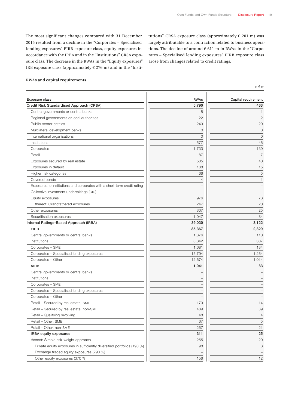The most significant changes compared with 31 December 2015 resulted from a decline in the "Corporates – Specialised lending exposures" FIRB exposure class, equity exposures in accordance with the IRBA and in the "Institutions" CRSA exposure class. The decrease in the RWAs in the "Equity exposures" IRB exposure class (approximately  $\epsilon$  276 m) and in the "Insti-

largely attributable to a contraction related to business operations. The decline of around  $\epsilon$  611 m in RWAs in the "Corporates – Specialised lending exposures" FIRB exposure class arose from changes related to credit ratings.

tutions" CRSA exposure class (approximately  $\epsilon$  201 m) was

#### **RWAs and capital requirements**

Exposure class Capital requirement Capital requirement Capital requirement Capital requirement Credit Risk Standardised Approach (CRSA) 5,790 5,790 463 Central governments or central banks 18 1 Regional governments or local authorities 22 2 Public-sector entities 249 20 Multilateral development banks and the control of the control of the control of the control of the control of the control of the control of the control of the control of the control of the control of the control of the con International organisations 0 0 Institutions  $\sim$  46  $\blacksquare$ Corporates  $\blacksquare$  . The set of the set of the set of the set of the set of the set of the set of the set of the set of the set of the set of the set of the set of the set of the set of the set of the set of the set Retail and the state of the state of the state of the state of the state of the state of the state of the state of the state of the state of the state of the state of the state of the state of the state of the state of the Exposures secured by real estate 505  $\sim$  505  $\sim$  505  $\sim$  505  $\sim$  505  $\sim$  505  $\sim$  505  $\sim$  505  $\sim$  505  $\sim$  505  $\sim$  505  $\sim$  505  $\sim$  505  $\sim$  505  $\sim$  505  $\sim$  505  $\sim$  505  $\sim$  505  $\sim$  505  $\sim$  505  $\sim$  505  $\sim$  Exposures in default 15 Higher risk categories 66 5  $\blacksquare$ Covered bonds  $\blacksquare$  14  $\blacksquare$ Exposures to institutions and corporates with a short-term credit rating – – Collective investment undertakings (CIU) Equity exposures and the state of the state of the state of the state of the state of the state of the state of the state of the state of the state of the state of the state of the state of the state of the state of the st thereof: Grandfathered exposures 247 20 Other exposures 307 25 Securitisation exposures 64 and the securitisation exposures 64 and the securitisation exposures 64 and the securitisation exposures 64 and the securitisation exposures 64 and the securitisation exposures 64 and the securi Internal Ratings-Based Approach (IRBA) 3,122 FIRB 35,367 2,829 Central governments or central banks 1,376 110  $\blacksquare$ Institutions  $\blacksquare$ Corporates – SME 1,681 134 Corporates – Specialised lending exposures 15,794 1,264 Corporates – Other 12,674 1,014 AIRB 1,041 83 Central governments or central banks – – Institutions – – Corporates – SME – – Corporates – Specialised lending exposures – – Corporates – Other Retail – Secured by real estate, SME 14 Retail – Secured by real estate, non-SME 489 39 Retail – Qualifying revolving 48 4 Retail – Other, SME 67 5 Retail – Other, non-SME 21 IRBA equity exposures 25 thereof: Simple risk-weight approach 255 20 Private equity exposures in sufficiently diversified portfolios (190 %) 98 8

Exchange traded equity exposures (290 %) – – Other equity exposures (370 %) 12

in € m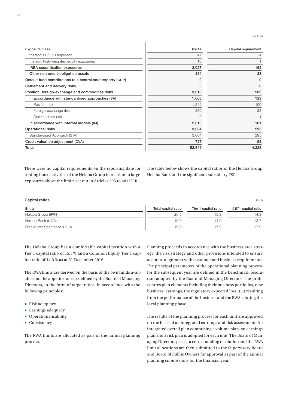| Exposure class                                             | RWAs   | Capital requirement |
|------------------------------------------------------------|--------|---------------------|
| thereof: PD/LGD approach                                   | 47     | 4                   |
| thereof: Risk-weighted equity exposures                    | 10     |                     |
| <b>IRBA</b> securitisation exposures                       | 2,027  | 162                 |
| Other non credit-obligation assets                         | 284    | 23                  |
| Default fund contributions to a central counterparty (CCP) | O      | $\mathbf{0}$        |
| Settlement and delivery risks                              |        | 0                   |
| Position, foreign-exchange and commodities risks           | 3,618  | 289                 |
| In accordance with standardised approaches (SA)            | 1,608  | 129                 |
| Position risk                                              | 1,249  | 100                 |
| Foreign-exchange risk                                      | 350    | 28                  |
| Commodities risk                                           | 9      |                     |
| In accordance with internal models (IM)                    | 2,010  | 161                 |
| Operational risks                                          | 3,684  | 295                 |
| Standardised Approach (STA)                                | 3,684  | 295                 |
| Credit valuation adjustment (CVA)                          | 727    | 58                  |
| Total                                                      | 52,849 | 4,228               |

There were no capital requirements on the reporting date for trading book activities of the Helaba Group in relation to large exposures above the limits set out in Articles 395 to 401 CRR.

The table below shows the capital ratios of the Helaba Group, Helaba Bank and the significant subsidiary FSP.

| Capital ratios<br>in $%$    |                     |                      |                    |  |  |
|-----------------------------|---------------------|----------------------|--------------------|--|--|
| Entity                      | Total capital ratio | Tier 1 capital ratio | CET1 capital ratio |  |  |
| Helaba Group (IFRS)         | 20.5                | 15.3                 | 14.3               |  |  |
| Helaba Bank (HGB)           | 19.9                | 14.0                 | 12.7               |  |  |
| Frankfurter Sparkasse (HGB) | 19.3                | 17.9                 | 17.9               |  |  |

The Helaba Group has a comfortable capital position with a Tier 1 capital ratio of 15.3 % and a Common Equity Tier 1 capital ratio of 14.3 % as at 31 December 2016.

The RWA limits are derived on the basis of the own funds available and the appetite for risk defined by the Board of Managing Directors, in the form of target ratios, in accordance with the following principles:

- Risk adequacy
- Earnings adequacy
- Operationalisability
- Consistency

The RWA limits are allocated as part of the annual planning process.

Planning proceeds in accordance with the business area strategy, the risk strategy and other provisions intended to ensure accurate alignment with customer and business requirements. The principal parameters of the operational planning process for the subsequent year are defined in the benchmark resolution adopted by the Board of Managing Directors. The profit centres plan elements including their business portfolios, new business, earnings, the regulatory expected loss (EL) resulting from the performance of the business and the RWAs during the local planning phase.

The results of the planning process for each unit are approved on the basis of an integrated earnings and risk assessment. An integrated overall plan comprising a volume plan, an earnings plan and a risk plan is adopted for each unit. The Board of Managing Directors passes a corresponding resolution and the RWA limit allocations are then submitted to the Supervisory Board and Board of Public Owners for approval as part of the annual planning submissions for the financial year.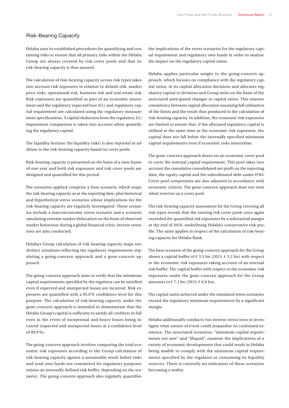### <span id="page-20-0"></span>Risk-Bearing Capacity

Helaba uses its established procedures for quantifying and containing risks to ensure that all primary risks within the Helaba Group are always covered by risk cover pools and that its risk-bearing capacity is thus assured.

The calculation of risk-bearing capacity across risk types takes into account risk exposures in relation to default risk, market price risks, operational risk, business risk and real estate risk. Risk exposures are quantified as part of an economic assessment and the regulatory expected loss (EL) and regulatory capital requirement are calculated using the regulatory measurement specifications. A capital deduction from the regulatory EL/ impairment comparison is taken into account when quantifying the regulatory capital.

The liquidity horizon (for liquidity risks) is also reported in addition to the risk-bearing capacity based on cover pools.

Risk-bearing capacity is presented on the basis of a time frame of one year and both risk exposures and risk cover pools are designed and quantified for this period.

The scenarios applied comprise a base scenario, which maps the risk-bearing capacity as at the reporting date, plus historical and hypothetical stress scenarios whose implications for the risk-bearing capacity are regularly investigated. These scenarios include a macroeconomic stress scenario and a scenario simulating extreme market dislocation on the basis of observed market behaviour during a global financial crisis. Inverse stress tests are also conducted.

Helaba's Group calculation of risk-bearing capacity maps two distinct situations reflecting the regulatory requirements stipulating a going-concern approach and a gone-concern approach.

The going-concern approach aims to verify that the minimum capital requirements specified by the regulator can be satisfied even if expected and unexpected losses are incurred. Risk exposures are quantified with a 95.0 % confidence level for this purpose. The calculation of risk-bearing capacity under the gone-concern approach is intended to demonstrate that the Helaba Group's capital is sufficient to satisfy all creditors in full even in the event of exceptional and heavy losses being incurred (expected and unexpected losses at a confidence level of 99.9 %).

The going-concern approach involves comparing the total economic risk exposures according to the Group calculation of risk-bearing capacity against a sustainable result before risks and total own funds not committed for regulatory purposes (minus an internally defined risk buffer, depending on the scenario). The going-concern approach also regularly quantifies

the implications of the stress scenarios for the regulatory capital requirement and regulatory own funds in order to analyse the impact on the regulatory capital ratios.

Helaba applies particular weight to the going-concern approach, which focuses on compliance with the regulatory capital ratios, in its capital allocation decisions and allocates regulatory capital to divisions and Group units on the basis of the associated anticipated changes in capital ratios. This ensures consistency between capital allocation assuming full utilisation of the limits and the result thus produced in the calculation of risk-bearing capacity. In addition, the economic risk exposures are limited to ensure that, if the allocated regulatory capital is utilised at the same time as the economic risk exposures, the capital does not fall below the internally specified minimum capital requirements even if economic risks materialise.

The gone-concern approach draws on an economic cover pool to cover the internal capital requirement. This pool takes into account the cumulative consolidated net profit on the reporting date, the equity capital and the subordinated debt under IFRS. Cover pool components are also adjusted in accordance with economic criteria. The gone-concern approach does not treat silent reserves as a cover pool.

The risk-bearing capacity assessment for the Group covering all risk types reveals that the existing risk cover pools once again exceeded the quantified risk exposures by a substantial margin at the end of 2016, underlining Helaba's conservative risk profile. The same applies in respect of the calculation of risk-bearing capacity for Helaba Bank.

The base scenario of the going-concern approach for the Group shows a capital buffer of  $\epsilon$  3.5 bn (2015:  $\epsilon$  3.2 bn) with respect to the economic risk exposures taking account of an internal risk buffer. The capital buffer with respect to the economic risk exposures under the gone-concern approach for the Group amounts to  $\in$  7.1 bn (2015:  $\in$  6.6 bn).

The capital ratios achieved under the simulated stress scenarios exceed the regulatory minimum requirements by a significant margin.

Helaba additionally conducts two inverse stress tests to investigate what nature of event could jeopardise its continued existence. The associated scenarios, "minimum capital requirements not met" and "illiquid", examine the implications of a variety of economic developments that could result in Helaba being unable to comply with the minimum capital requirements specified by the regulator or consuming its liquidity reserves. There is currently no indication of these scenarios becoming a reality.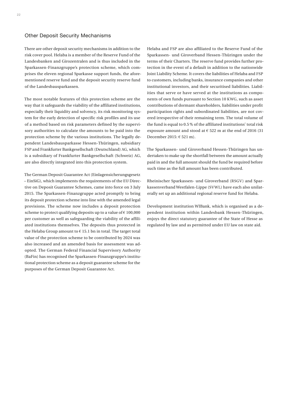### <span id="page-21-0"></span>Other Deposit Security Mechanisms

There are other deposit security mechanisms in addition to the risk cover pool. Helaba is a member of the Reserve Fund of the Landesbanken and Girozentralen and is thus included in the Sparkassen-Finanzgruppe's protection scheme, which comprises the eleven regional Sparkasse support funds, the aforementioned reserve fund and the deposit security reserve fund of the Landesbausparkassen.

The most notable features of this protection scheme are the way that it safeguards the viability of the affiliated institutions, especially their liquidity and solvency, its risk monitoring system for the early detection of specific risk profiles and its use of a method based on risk parameters defined by the supervisory authorities to calculate the amounts to be paid into the protection scheme by the various institutions. The legally dependent Landesbausparkasse Hessen-Thüringen, subsidiary FSP and Frankfurter Bankgesellschaft (Deutschland) AG, which is a subsidiary of Frankfurter Bankgesellschaft (Schweiz) AG, are also directly integrated into this protection system.

The German Deposit Guarantee Act (Einlagensicherungsgesetz – EinSiG), which implements the requirements of the EU Directive on Deposit Guarantee Schemes, came into force on 3 July 2015. The Sparkassen-Finanzgruppe acted promptly to bring its deposit protection scheme into line with the amended legal provisions. The scheme now includes a deposit protection scheme to protect qualifying deposits up to a value of  $\epsilon$  100,000 per customer as well as safeguarding the viability of the affiliated institutions themselves. The deposits thus protected in the Helaba Group amount to  $\epsilon$  15.1 bn in total. The target total value of the protection scheme to be contributed by 2024 was also increased and an amended basis for assessment was adopted. The German Federal Financial Supervisory Authority (BaFin) has recognised the Sparkassen-Finanzgruppe's institutional protection scheme as a deposit guarantee scheme for the purposes of the German Deposit Guarantee Act.

Helaba and FSP are also affiliated to the Reserve Fund of the Sparkassen- und Giroverband Hessen-Thüringen under the terms of their Charters. The reserve fund provides further protection in the event of a default in addition to the nationwide Joint Liability Scheme. It covers the liabilities of Helaba and FSP to customers, including banks, insurance companies and other institutional investors, and their securitised liabilities. Liabilities that serve or have served at the institutions as components of own funds pursuant to Section 10 KWG, such as asset contributions of dormant shareholders, liabilities under profit participation rights and subordinated liabilities, are not covered irrespective of their remaining term. The total volume of the fund is equal to 0.5 % of the affiliated institutions' total risk exposure amount and stood at  $\epsilon$  522 m at the end of 2016 (31 December 2015: € 521 m).

The Sparkassen- und Giroverband Hessen-Thüringen has undertaken to make up the shortfall between the amount actually paid in and the full amount should the fund be required before such time as the full amount has been contributed.

Rheinischer Sparkassen- und Giroverband (RSGV) and Sparkassenverband Westfalen-Lippe (SVWL) have each also unilaterally set up an additional regional reserve fund for Helaba.

Development institution WIBank, which is organised as a dependent institution within Landesbank Hessen-Thüringen, enjoys the direct statutory guarantee of the State of Hesse as regulated by law and as permitted under EU law on state aid.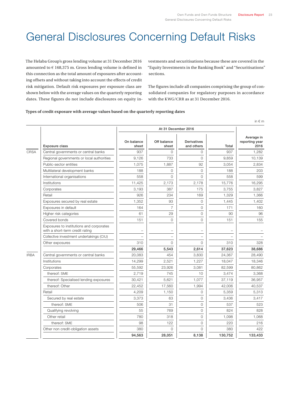# <span id="page-22-0"></span>General Disclosures Concerning Default Risks

The Helaba Group's gross lending volume at 31 December 2016 amounted to  $\epsilon$  168,375 m. Gross lending volume is defined in this connection as the total amount of exposures after accounting offsets and without taking into account the effects of credit risk mitigation. Default risk exposures per exposure class are shown below with the average values on the quarterly reporting dates. These figures do not include disclosures on equity investments and securitisations because these are covered in the "Equity Investments in the Banking Book" and "Securitisations" sections.

The figures include all companies comprising the group of consolidated companies for regulatory purposes in accordance with the KWG/CRR as at 31 December 2016.

### **Types of credit exposure with average values based on the quarterly reporting dates**

At 31 December 2016 Exposure class On balance sheet Off balance sheet Derivatives and others **Total** Average in reporting year  $2016$  $\overline{CRSA}$   $\overline{C}$  Central governments or central banks  $\overline{Q}$   $\overline{Q}$   $\overline{Q}$   $\overline{Q}$   $\overline{Q}$   $\overline{Q}$   $\overline{Q}$   $\overline{Q}$   $\overline{Q}$   $\overline{Q}$   $\overline{Q}$   $\overline{Q}$   $\overline{Q}$   $\overline{Q}$   $\overline{Q}$   $\overline{Q}$   $\overline{Q}$   $\overline{Q}$   $\over$ Regional governments or local authorities  $\begin{vmatrix} 9,126 & 733 & 0 \end{vmatrix}$  0 9,859 10.139 Public-sector entities 1,075 | 1,075 | 1,887 | 92 | 3,054 | 2,834 Multilateral development banks 188 188 0 0 188 188 203 International organisations 
and the studies in the studies of the studies of the studies of the studies are studies of the studies of the studies of the studies of the studies of the studies of the studies of the studies Institutions 11,425 | 2,173 | 2,178 15,776 | 16,295 Corporates 3,193 387 175 3,755 3,827 Retail 926 234 169 1,329 1,366 Exposures secured by real estate 1,352 93 0 1,445 1,402 Exposures in default 160  $\vert$  164  $\vert$  7  $\vert$  0  $\vert$  171  $\vert$  160 Higher risk categories **61** 61 29 0 96 Covered bonds 200 151 200 151 200 151 200 200 151 200 155 Exposures to institutions and corporates with a short-term credit rating Collective investment undertakings (CIU) Other exposures 228 0 0 310 328 29,466 5,543 2,614 37,623 38,686 IRBA Central governments or central banks 20,083 454 3,830 24,367 28,490 Institutions 14,299 | 2,521 | 1,227 | 18,047 | 18,346 Corporates 55,592 23,926 3,081 82,599 80,862 thereof: SME 2,719 745 10 3,474 3,368 thereof: Specialised lending exposures | 30,421 | 5,621 | 1,077 | 37,119 | 36,957 thereof: Other **22,452** 17,560 1,994 42,006 40,537 Retail 4,209 1,150 0 5,359 5,313 Secured by real estate **3,373** 63 0 3,436 3,417 thereof: SME 506 31 0 537 523 Qualifying revolving **65 1 828** 828 **0 824** 828 Other retail | 780 | 318 | 0 | 1,098 | 1,068 thereof: SME 98 122 0 220 216 Other non credit-obligation assets 1 380 380 0 0 380 380 380 422 94,563 28,051 8,138 130,752 133,433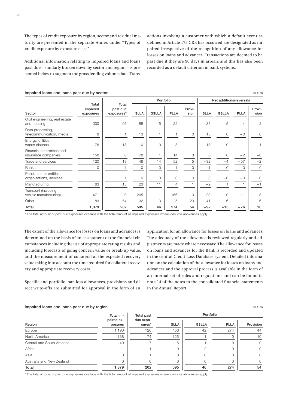The types of credit exposure by region, sector and residual maturity are presented in the separate Annex under "Types of credit exposure by exposure class".

Additional information relating to impaired loans and loans past due – similarly broken down by sector and region – is presented below to augment the gross lending volume data. Trans-

actions involving a customer with which a default event as defined in Article 178 CRR has occurred are designated as impaired irrespective of the recognition of any allowance for losses on loans and advances. Transactions are deemed to be past due if they are 90 days in arrears and this has also been recorded as a default criterion in bank systems.

|                                                    |                                |                                 | Portfolio   |                |             |                | Net additions/reversals |              |             |                |
|----------------------------------------------------|--------------------------------|---------------------------------|-------------|----------------|-------------|----------------|-------------------------|--------------|-------------|----------------|
| Sector                                             | Total<br>impaired<br>exposures | Total<br>past due<br>exposures* | <b>SLLA</b> | <b>GSLLA</b>   | <b>PLLA</b> | Provi-<br>sion | <b>SLLA</b>             | <b>GSLLA</b> | <b>PLLA</b> | Provi-<br>sion |
| Civil engineering, real estate<br>and housing      | 300                            | 95                              | 188         | 5              | 22          | 11             | $-35$                   | $-5$         | $-4$        | $-2$           |
| Data processing,<br>telecommunication, media       | 8                              | 1                               | 13          | $\overline{1}$ |             | $\circ$        | 13                      | 0            | $-0$        | $\circ$        |
| Energy, utilities,<br>waste disposal               | 176                            | 18                              | 10          | 0              | 8           |                | $-18$                   | 0            | $-1$        |                |
| Financial enterprises and<br>insurance companies   | 158                            | $\Omega$                        | 78          | $\overline{1}$ | 14          | 3              | 6                       | $\circ$      | $-2$        | $-0$           |
| Trade and services                                 | 120                            | 18                              | 46          | 14             | 52          | 5              | $-32$                   | $-4$         | $-57$       | $-2$           |
| <b>Banks</b>                                       | 0                              |                                 | $\mathbf 0$ | $\circ$        |             | $\Omega$       | $-1$                    | 0            | $-0$        | $\circ$        |
| Public-sector entities,<br>organisations, services |                                |                                 | $\Omega$    | $\circ$        | $\Omega$    | $\Omega$       | $\mathbf 0$             | $-0$         | $-0$        | 0              |
| Manufacturing                                      | 63                             | 15                              | 23          | 11             | 4           |                | $-9$                    |              |             | $-1$           |
| Transport (including<br>vehicle manufacturing)     | 471                            | 0                               | 205         | $\overline{1}$ | 166         | 10             | 23                      | $-0$         | $-11$       | 8              |
| Other                                              | 83                             | 54                              | 32          | 13             | 5           | 23             | $-41$                   | $-6$         | $-1$        | 6              |
| Total                                              | 1,379                          | 202                             | 595         | 46             | 274         | 54             | $-92$                   | $-15$        | $-76$       | 10             |

#### Impaired loans and loans past due by sector in  $\epsilon$  m

\* The total amount of past due exposures overlaps with the total amount of impaired exposures where loan loss allowances apply.

The extent of the allowance for losses on loans and advances is determined on the basis of an assessment of the financial circumstances including the use of appropriate rating results and including forecasts of going concern value or break-up value, and the measurement of collateral at the expected recovery value taking into account the time required for collateral recovery and appropriate recovery costs.

Specific and portfolio loan loss allowances, provisions and direct write-offs are submitted for approval in the form of an

application for an allowance for losses on loans and advances. The adequacy of the allowance is reviewed regularly and adjustments are made where necessary. The allowance for losses on loans and advances for the Bank is recorded and updated in the central Credit Loss Database system. Detailed information on the calculation of the allowance for losses on loans and advances and the approval process is available in the form of an internal set of rules and regulations and can be found in note 14 of the notes to the consolidated financial statements in the Annual Report.

| Impaired loans and loans past due by region |                         |                         |             | in $\epsilon$ m |             |           |  |
|---------------------------------------------|-------------------------|-------------------------|-------------|-----------------|-------------|-----------|--|
| Region                                      | Total im-<br>paired ex- | Total past<br>due expo- |             |                 | Portfolio   |           |  |
|                                             | posures                 | sures*                  | <b>SLLA</b> | <b>GSLLA</b>    | <b>PLLA</b> | Provision |  |
| Europe                                      | 1,190                   | 120                     | 456         | 42              | 274         | 44        |  |
| North America                               | 138                     | 74                      | 125         |                 |             | 10        |  |
| Central and South America                   | 40                      |                         | 15          |                 |             | 0         |  |
| Africa                                      | 11                      |                         | 0           | $\Omega$        |             | 0         |  |
| Asia                                        |                         |                         | Ω           |                 |             | 0         |  |
| Australia and New Zealand                   |                         |                         | Ω           |                 |             | 0         |  |
| Total                                       | 1,379                   | 202                     | 595         | 46              | 274         | 54        |  |

\* The total amount of past due exposures overlaps with the total amount of impaired exposures where loan loss allowances apply.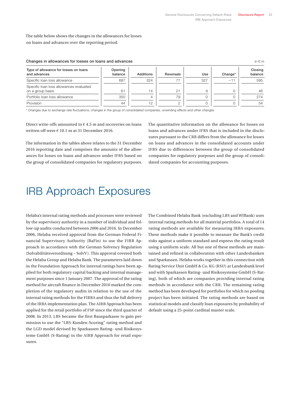<span id="page-24-0"></span>The table below shows the changes in the allowances for losses on loans and advances over the reporting period.

| Changes in allowances for losses on loans and advances<br>in $\notin$ m |                    |                  |           |     |                   |                    |
|-------------------------------------------------------------------------|--------------------|------------------|-----------|-----|-------------------|--------------------|
| Type of allowance for losses on loans<br>and advances                   | Opening<br>balance | <b>Additions</b> | Reversals | Use | Change*           | Closing<br>balance |
| Specific loan loss allowance                                            | 687                | 324              |           | 327 | $-1$ <sup>-</sup> | 595                |
| Specific loan loss allowances evaluated<br>on a group basis             | 61                 | 14               | 21        |     |                   | 46                 |
| Portfolio Ioan Ioss allowance                                           | 350                |                  | 79        |     |                   | 274                |
| Provision                                                               | 44                 |                  | $\Omega$  |     |                   | 54                 |

\* Changes due to exchange rate fluctuations, changes in the group of consolidated companies, unwinding effects and other changes

Direct write-offs amounted to  $6.4.5$  m and recoveries on loans written off were  $\epsilon$  10.1 m at 31 December 2016.

The information in the tables above relates to the 31 December 2016 reporting date and comprises the amounts of the allowances for losses on loans and advances under IFRS based on the group of consolidated companies for regulatory purposes.

The quantitative information on the allowance for losses on loans and advances under IFRS that is included in the disclosures pursuant to the CRR differs from the allowance for losses on loans and advances in the consolidated accounts under IFRS due to differences between the group of consolidated companies for regulatory purposes and the group of consolidated companies for accounting purposes.

### IRB Approach Exposures

Helaba's internal rating methods and processes were reviewed by the supervisory authority in a number of individual and follow-up audits conducted between 2006 and 2016. In December 2006, Helaba received approval from the German Federal Financial Supervisory Authority (BaFin) to use the FIRB Approach in accordance with the German Solvency Regulation (Solvabilitätsverordnung – SolvV). This approval covered both the Helaba Group and Helaba Bank. The parameters laid down in the Foundation Approach for internal ratings have been applied for both regulatory capital backing and internal management purposes since 1 January 2007. The approval of the rating method for aircraft finance in December 2010 marked the completion of the regulatory audits in relation to the use of the internal rating methods for the FIRBA and thus the full delivery of the IRBA implementation plan. The AIRB Approach has been applied for the retail portfolio of FSP since the third quarter of 2008. In 2013, LBS became the first Bausparkasse to gain permission to use the "LBS-Kunden-Scoring" rating method and the LGD model devised by Sparkassen Rating- und Risikosysteme GmbH (S-Rating) in the AIRB Approach for retail exposures.

The Combined Helaba Bank (excluding LBS and WIBank) uses internal rating methods for all material portfolios. A total of 14 rating methods are available for measuring IRBA exposures. These methods make it possible to measure the Bank's credit risks against a uniform standard and express the rating result using a uniform scale. All but one of these methods are maintained and refined in collaboration with other Landesbanken and Sparkassen. Helaba works together in this connection with Rating Service Unit GmbH & Co. KG (RSU) at Landesbank level and with Sparkassen Rating- und Risikosysteme GmbH (S-Rating), both of which are companies providing internal rating methods in accordance with the CRR. The remaining rating method has been developed for portfolios for which no pooling project has been initiated. The rating methods are based on statistical models and classify loan exposures by probability of default using a 25-point cardinal master scale.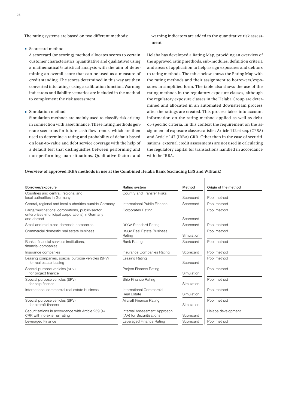The rating systems are based on two different methods:

■ Scorecard method

A scorecard (or scoring) method allocates scores to certain customer characteristics (quantitative and qualitative) using a mathematical/statistical analysis with the aim of determining an overall score that can be used as a measure of credit standing. The scores determined in this way are then converted into ratings using a calibration function. Warning indicators and liability scenarios are included in the method to complement the risk assessment.

■ Simulation method

Simulation methods are mainly used to classify risk arising in connection with asset finance. These rating methods generate scenarios for future cash flow trends, which are then used to determine a rating and probability of default based on loan-to-value and debt service coverage with the help of a default test that distinguishes between performing and non-performing loan situations. Qualitative factors and

warning indicators are added to the quantitative risk assessment.

Helaba has developed a Rating Map, providing an overview of the approved rating methods, sub-modules, definition criteria and areas of application to help assign exposures and debtors to rating methods. The table below shows the Rating Map with the rating methods and their assignment to borrowers/exposures in simplified form. The table also shows the use of the rating methods in the regulatory exposure classes, although the regulatory exposure classes in the Helaba Group are determined and allocated in an automated downstream process after the ratings are created. This process takes into account information on the rating method applied as well as debtor-specific criteria. In this context the requirement on the assignment of exposure classes satisfies Article 112 et seq. (CRSA) and Article 147 (IRBA) CRR. Other than in the case of securitisations, external credit assessments are not used in calculating the regulatory capital for transactions handled in accordance with the IRBA.

 $\overline{1}$ 

 $\mathbf{r}$ 

### **Overview of approved IRBA methods in use at the Combined Helaba Bank (excluding LBS and WIBank)**

| Borrower/exposure                                                                                                | Rating system                                             | Method     | Origin of the method |
|------------------------------------------------------------------------------------------------------------------|-----------------------------------------------------------|------------|----------------------|
| Countries and central, regional and<br>local authorities in Germany                                              | Country and Transfer Risks                                | Scorecard  | Pool method          |
| Central, regional and local authorities outside Germany                                                          | International Public Finance                              | Scorecard  | Pool method          |
| Large/multinational corporations, public-sector<br>enterprises (municipal corporations) in Germany<br>and abroad | Corporates Rating                                         | Scorecard  | Pool method          |
| Small and mid-sized domestic companies                                                                           | <b>DSGV Standard Rating</b>                               | Scorecard  | Pool method          |
| Commercial domestic real estate business                                                                         | <b>DSGV Real Estate Business</b><br>Rating                | Simulation | Pool method          |
| Banks, financial services institutions,<br>financial companies                                                   | <b>Bank Rating</b>                                        | Scorecard  | Pool method          |
| Insurance companies                                                                                              | Insurance Companies Rating                                | Scorecard  | Pool method          |
| Leasing companies, special purpose vehicles (SPV)<br>for real estate leasing                                     | Leasing Rating                                            | Scorecard  | Pool method          |
| Special purpose vehicles (SPV)<br>for project finance                                                            | Project Finance Rating                                    | Simulation | Pool method          |
| Special purpose vehicles (SPV)<br>for ship finance                                                               | Ship Finance Rating                                       | Simulation | Pool method          |
| International commercial real estate business                                                                    | International Commercial<br>Real Estate                   | Simulation | Pool method          |
| Special purpose vehicles (SPV)<br>for aircraft finance                                                           | Aircraft Finance Rating                                   | Simulation | Pool method          |
| Securitisations in accordance with Article 259 (4)<br>CRR with no external rating                                | Internal Assessment Approach<br>(IAA) for Securitisations | Scorecard  | Helaba development   |
| Leveraged Finance                                                                                                | Leveraged Finance Rating                                  | Scorecard  | Pool method          |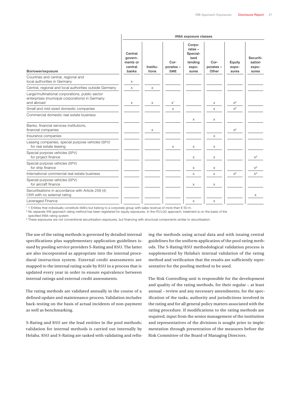|                                                                                                                  | IRBA exposure classes                              |                   |                                 |                                                                      |                           |                          |                                       |  |
|------------------------------------------------------------------------------------------------------------------|----------------------------------------------------|-------------------|---------------------------------|----------------------------------------------------------------------|---------------------------|--------------------------|---------------------------------------|--|
| Borrower/exposure                                                                                                | Central<br>govern-<br>ments or<br>central<br>banks | Institu-<br>tions | Cor-<br>porates -<br><b>SME</b> | Corpo-<br>rates $-$<br>Special-<br>ised<br>lending<br>expo-<br>sures | Cor-<br>porates-<br>Other | Equity<br>expo-<br>sures | Securiti-<br>sation<br>expo-<br>sures |  |
| Countries and central, regional and<br>local authorities in Germany                                              | X                                                  |                   |                                 |                                                                      |                           |                          |                                       |  |
| Central, regional and local authorities outside Germany                                                          | X                                                  | X                 |                                 |                                                                      |                           |                          |                                       |  |
| Large/multinational corporations, public-sector<br>enterprises (municipal corporations) in Germany<br>and abroad | X                                                  | X                 | $X^1$                           |                                                                      | X                         | $X^2$                    |                                       |  |
| Small and mid-sized domestic companies                                                                           |                                                    |                   | X                               |                                                                      | X                         | $x^2$                    |                                       |  |
| Commercial domestic real estate business                                                                         |                                                    |                   |                                 | X                                                                    | X                         |                          |                                       |  |
| Banks, financial services institutions,<br>financial companies                                                   |                                                    | X                 |                                 |                                                                      |                           | $X^2$                    |                                       |  |
| Insurance companies                                                                                              |                                                    |                   |                                 |                                                                      | X                         |                          |                                       |  |
| Leasing companies, special purpose vehicles (SPV)<br>for real estate leasing                                     |                                                    |                   | X                               | X                                                                    | X                         |                          |                                       |  |
| Special purpose vehicles (SPV)<br>for project finance                                                            |                                                    |                   |                                 | X                                                                    | X                         |                          | $X^3$                                 |  |
| Special purpose vehicles (SPV)<br>for ship finance                                                               |                                                    |                   |                                 | X                                                                    | X                         |                          | $X^3$                                 |  |
| International commercial real estate business                                                                    |                                                    |                   |                                 | $\times$                                                             | X                         | $X^2$                    | $x^3$                                 |  |
| Special purpose vehicles (SPV)<br>for aircraft finance                                                           |                                                    |                   |                                 | X                                                                    | X                         |                          |                                       |  |
| Securitisations in accordance with Article 259 (4)<br>CRR with no external rating                                |                                                    |                   |                                 |                                                                      |                           |                          | X                                     |  |
| Leveraged Finance                                                                                                |                                                    |                   |                                 | $\times$                                                             | X                         |                          |                                       |  |
|                                                                                                                  |                                                    |                   |                                 |                                                                      |                           |                          |                                       |  |

<sup>1</sup> 1 Entities that individually constitute SMEs but belong to a corporate group with sales revenue of more than € 50 m. ² No separate IRB approach rating method has been registered for equity exposures. In the PD/LGD approach, treatment is on the basis of the

specified IRBA rating system.

³ These exposures are not conventional securitisation exposures, but financing with structural components similar to securitisation.

The use of the rating methods is governed by detailed internal specifications plus supplementary application guidelines issued by pooling service providers S-Rating and RSU. The latter are also incorporated as appropriate into the internal procedural instruction system. External credit assessments are mapped to the internal rating scale by RSU in a process that is updated every year in order to ensure equivalence between internal ratings and external credit assessments.

The rating methods are validated annually in the course of a defined update and maintenance process. Validation includes back-testing on the basis of actual incidents of non-payment as well as benchmarking.

S-Rating and RSU are the lead entities in the pool methods; validation for internal methods is carried out internally by Helaba. RSU and S-Rating are tasked with validating and refining the methods using actual data and with issuing central guidelines for the uniform application of the pool rating methods. The S-Rating/RSU methodological validation process is supplemented by Helaba's internal validation of the rating method and verification that the results are sufficiently representative for the pooling method to be used.

The Risk Controlling unit is responsible for the development and quality of the rating methods, for their regular – at least annual – review and any necessary amendments, for the specification of the tasks, authority and jurisdictions involved in the rating and for all general policy matters associated with the rating procedure. If modifications to the rating methods are required, input from the senior management of the institution and representatives of the divisions is sought prior to implementation through presentation of the measures before the Risk Committee of the Board of Managing Directors.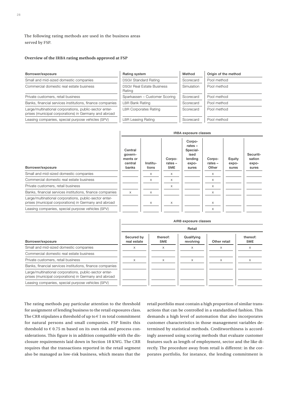The following rating methods are used in the business areas served by FSP.

### **Overview of the IRBA rating methods approved at FSP**

| <b>DSGV Standard Rating</b>      | Scorecard  | Pool method |
|----------------------------------|------------|-------------|
|                                  |            |             |
| <b>DSGV Real Estate Business</b> | Simulation | Pool method |
| Sparkassen - Customer Scoring    | Scorecard  | Pool method |
| LBR Bank Rating                  | Scorecard  | Pool method |
| <b>LBR Corporates Rating</b>     | Scorecard  | Pool method |
| <b>LBR Leasing Rating</b>        | Scorecard  | Pool method |
|                                  |            |             |

|                                                                                                                 | IRBA exposure classes                              |                   |                                   |                                                                      |                              |                          |                                       |
|-----------------------------------------------------------------------------------------------------------------|----------------------------------------------------|-------------------|-----------------------------------|----------------------------------------------------------------------|------------------------------|--------------------------|---------------------------------------|
| Borrower/exposure                                                                                               | Central<br>govern-<br>ments or<br>central<br>banks | Institu-<br>tions | Corpo-<br>rates $-$<br><b>SME</b> | Corpo-<br>rates $-$<br>Special-<br>ised<br>lending<br>expo-<br>sures | Corpo-<br>$rates -$<br>Other | Equity<br>expo-<br>sures | Securiti-<br>sation<br>expo-<br>sures |
| Small and mid-sized domestic companies                                                                          |                                                    | X                 | X                                 |                                                                      | X                            |                          |                                       |
| Commercial domestic real estate business                                                                        |                                                    | X                 | X                                 |                                                                      | X                            |                          |                                       |
| Private customers, retail business                                                                              |                                                    |                   | X                                 |                                                                      | X                            |                          |                                       |
| Banks, financial services institutions, finance companies                                                       | $\times$                                           | X                 |                                   |                                                                      | X                            |                          |                                       |
| Large/multinational corporations, public-sector enter-<br>prises (municipal corporations) in Germany and abroad |                                                    | X                 | X                                 |                                                                      | X                            |                          |                                       |
| Leasing companies, special purpose vehicles (SPV)                                                               |                                                    |                   |                                   |                                                                      | X                            |                          |                                       |

|                                                                                                                 | AIRB exposure classes     |                        |                         |              |                        |  |
|-----------------------------------------------------------------------------------------------------------------|---------------------------|------------------------|-------------------------|--------------|------------------------|--|
|                                                                                                                 |                           |                        | Retail                  |              |                        |  |
| Borrower/exposure                                                                                               | Secured by<br>real estate | thereof:<br><b>SME</b> | Qualifying<br>revolving | Other retail | thereof:<br><b>SME</b> |  |
| Small and mid-sized domestic companies                                                                          | X                         | X                      | X                       | X            | X                      |  |
| Commercial domestic real estate business                                                                        |                           |                        |                         |              |                        |  |
| Private customers, retail business                                                                              | X                         | X                      | X                       | X            | X                      |  |
| Banks, financial services institutions, finance companies                                                       |                           |                        |                         |              |                        |  |
| Large/multinational corporations, public-sector enter-<br>prises (municipal corporations) in Germany and abroad |                           |                        |                         |              |                        |  |
| Leasing companies, special purpose vehicles (SPV)                                                               |                           |                        |                         |              |                        |  |

The rating methods pay particular attention to the threshold for assignment of lending business to the retail exposures class. The CRR stipulates a threshold of up to  $\epsilon$  1 m total commitment for natural persons and small companies. FSP limits this threshold to  $\epsilon$  0.75 m based on its own risk and process considerations. This figure is in addition compatible with the disclosure requirements laid down in Section 18 KWG. The CRR requires that the transactions reported in the retail segment also be managed as low-risk business, which means that the

retail portfolio must contain a high proportion of similar transactions that can be controlled in a standardised fashion. This demands a high level of automation that also incorporates customer characteristics in those management variables determined by statistical methods. Creditworthiness is accordingly assessed using scoring methods that evaluate customer features such as length of employment, sector and the like directly. The procedure away from retail is different: in the corporates portfolio, for instance, the lending commitment is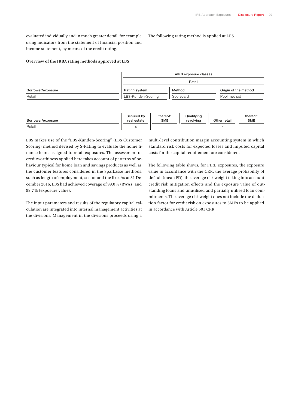evaluated individually and in much greater detail, for example using indicators from the statement of financial position and income statement, by means of the credit rating.

The following rating method is applied at LBS.

### **Overview of the IRBA rating methods approved at LBS**



LBS makes use of the "LBS-Kunden-Scoring" (LBS Customer Scoring) method devised by S-Rating to evaluate the home finance loans assigned to retail exposures. The assessment of creditworthiness applied here takes account of patterns of behaviour typical for home loan and savings products as well as the customer features considered in the Sparkasse methods, such as length of employment, sector and the like. As at 31 December 2016, LBS had achieved coverage of 99.0 % (RWAs) and 99.7 % (exposure value).

The input parameters and results of the regulatory capital calculation are integrated into internal management activities at the divisions. Management in the divisions proceeds using a

multi-level contribution margin accounting system in which standard risk costs for expected losses and imputed capital costs for the capital requirement are considered.

The following table shows, for FIRB exposures, the exposure value in accordance with the CRR, the average probability of default (mean PD), the average risk weight taking into account credit risk mitigation effects and the exposure value of outstanding loans and unutilised and partially utilised loan commitments. The average risk weight does not include the deduction factor for credit risk on exposures to SMEs to be applied in accordance with Article 501 CRR.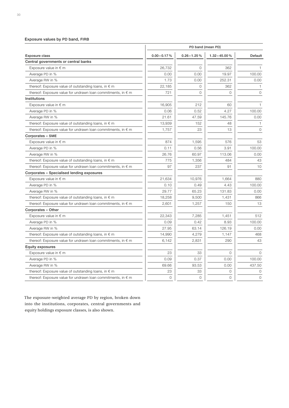### Exposure values by PD band, FIRB

|                                                                       | PD band (mean PD) |                |                  |              |
|-----------------------------------------------------------------------|-------------------|----------------|------------------|--------------|
| <b>Exposure class</b>                                                 | $0.00 - 0.17 %$   | $0.26 - 1.25%$ | $1.32 - 45.00 %$ | Default      |
| Central governments or central banks                                  |                   |                |                  |              |
| Exposure value in $\epsilon$ m                                        | 26,732            | 0              | 362              | 1            |
| Average PD in %                                                       | 0.00              | 0.00           | 19.97            | 100.00       |
| Average RW in %                                                       | 1.73              | 0.00           | 252.31           | 0.00         |
| thereof: Exposure value of outstanding loans, in $\epsilon$ m         | 22,185            | 0              | 362              | 1.           |
| thereof: Exposure value for undrawn loan commitments, in $\epsilon$ m | 721               | 0              | 0                | $\circ$      |
| Institutions                                                          |                   |                |                  |              |
| Exposure value in $\epsilon$ m                                        | 16,905            | 212            | 60               | 1            |
| Average PD in %                                                       | 0.06              | 0.52           | 4.27             | 100.00       |
| Average RW in %                                                       | 21.61             | 47.59          | 145.76           | 0.00         |
| thereof: Exposure value of outstanding loans, in $\epsilon$ m         | 13,939            | 152            | 48               | $\mathbf{1}$ |
| thereof: Exposure value for undrawn loan commitments, in $\epsilon$ m | 1,757             | 23             | 13               | $\Omega$     |
| Corporates - SME                                                      |                   |                |                  |              |
| Exposure value in $\epsilon$ m                                        | 874               | 1,595          | 576              | 53           |
| Average PD in %                                                       | 0.11              | 0.56           | 3.91             | 100.00       |
| Average RW in %                                                       | 26.76             | 60.97          | 113.06           | 0.00         |
| thereof: Exposure value of outstanding loans, in $\epsilon$ m         | 775               | 1,356          | 484              | 43           |
| thereof: Exposure value for undrawn loan commitments, in $\epsilon$ m | 97                | 237            | 91               | 10           |
| Corporates - Specialised lending exposures                            |                   |                |                  |              |
| Exposure value in $\epsilon$ m                                        | 21,634            | 10,976         | 1,664            | 880          |
| Average PD in %                                                       | 0.10              | 0.49           | 4.43             | 100.00       |
| Average RW in %                                                       | 29.77             | 65.23          | 131.83           | 0.00         |
| thereof: Exposure value of outstanding loans, in $\epsilon$ m         | 18,258            | 9,500          | 1,431            | 866          |
| thereof: Exposure value for undrawn loan commitments, in $\epsilon$ m | 2,601             | 1,257          | 150              | 13           |
| Corporates - Other                                                    |                   |                |                  |              |
| Exposure value in $\epsilon$ m                                        | 22,343            | 7,285          | 1,451            | 512          |
| Average PD in %                                                       | 0.09              | 0.42           | 8.93             | 100.00       |
| Average RW in %                                                       | 27.95             | 63.14          | 126.19           | 0.00         |
| thereof: Exposure value of outstanding loans, in $\epsilon$ m         | 14,990            | 4,279          | 1,147            | 468          |
| thereof: Exposure value for undrawn loan commitments, in $\epsilon$ m | 6,142             | 2,831          | 290              | 43           |
| <b>Equity exposures</b>                                               |                   |                |                  |              |
| Exposure value in $\epsilon$ m                                        | 23                | 33             | 0                | $\Omega$     |
| Average PD in %                                                       | 0.09              | 0.37           | 0.00             | 100.00       |
| Average RW in %                                                       | 69.66             | 93.53          | 0.00             | 437.50       |
| thereof: Exposure value of outstanding loans, in $\epsilon$ m         | 23                | 33             | 0                | 0            |
| thereof: Exposure value for undrawn loan commitments, in $\epsilon$ m | $\circ$           | 0              | 0                | $\circ$      |

The exposure-weighted average PD by region, broken down into the institutions, corporates, central governments and equity holdings exposure classes, is also shown.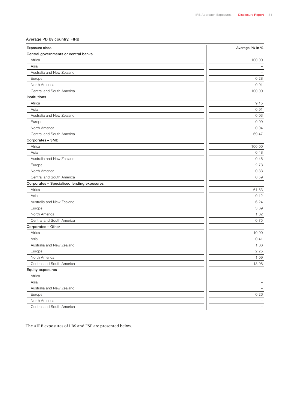### Average PD by country, FIRB

| Exposure class                             | Average PD in % |
|--------------------------------------------|-----------------|
| Central governments or central banks       |                 |
| Africa                                     | 100.00          |
| Asia                                       |                 |
| Australia and New Zealand                  |                 |
| Europe                                     | 0.28            |
| North America                              | 0.01            |
| Central and South America                  | 100.00          |
| Institutions                               |                 |
| Africa                                     | 9.15            |
| Asia                                       | 0.91            |
| Australia and New Zealand                  | 0.03            |
| Europe                                     | 0.09            |
| North America                              | 0.04            |
| Central and South America                  | 69.47           |
| Corporates - SME                           |                 |
| Africa                                     | 100.00          |
| Asia                                       | 0.48            |
| Australia and New Zealand                  | 0.46            |
| Europe                                     | 2.73            |
| North America                              | 0.33            |
| Central and South America                  | 0.59            |
| Corporates - Specialised lending exposures |                 |
| Africa                                     | 61.83           |
| Asia                                       | 0.12            |
| Australia and New Zealand                  | 6.24            |
| Europe                                     | 3.69            |
| North America                              | 1.02            |
| Central and South America                  | 0.75            |
| Corporates - Other                         |                 |
| Africa                                     | 10.00           |
| Asia                                       | 0.41            |
| Australia and New Zealand                  | 1.06            |
| Europe                                     | 2.25            |
| North America                              | 1.09            |
| Central and South America                  | 13.98           |
| <b>Equity exposures</b>                    |                 |
| Africa                                     |                 |
| Asia                                       |                 |
| Australia and New Zealand                  |                 |
| Europe                                     | 0.26            |
| North America                              |                 |
| Central and South America                  |                 |

The AIRB exposures of LBS and FSP are presented below.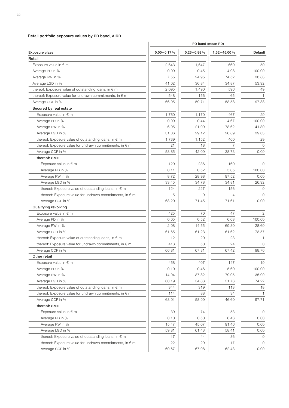### Retail portfolio exposure values by PD band, AIRB

|                                                                  | PD band (mean PD) |                 |                  |                |
|------------------------------------------------------------------|-------------------|-----------------|------------------|----------------|
| <b>Exposure class</b>                                            | $0.00 - 0.17 %$   | $0.26 - 0.88 %$ | $1.32 - 45.00 %$ | Default        |
| Retail                                                           |                   |                 |                  |                |
| Exposure value in $\epsilon$ m                                   | 2,643             | 1,647           | 660              | 50             |
| Average PD in %                                                  | 0.09              | 0.45            | 4.98             | 100.00         |
| Average RW in %                                                  | 7.55              | 24.95           | 74.52            | 38.88          |
| Average LGD in %                                                 | 41.02             | 36.84           | 34.87            | 53.92          |
| thereof: Exposure value of outstanding loans, in $\epsilon$ m    | 2,095             | 1,490           | 596              | 49             |
| thereof: Exposure value for undrawn commitments, in $\epsilon$ m | 548               | 156             | 65               | $\overline{1}$ |
| Average CCF in %                                                 | 66.95             | 59.71           | 53.58            | 97.88          |
| Secured by real estate                                           |                   |                 |                  |                |
| Exposure value in $\epsilon$ m                                   | 1,760             | 1,170           | 467              | 29             |
| Average PD in %                                                  | 0.09              | 0.44            | 4.67             | 100.00         |
| Average RW in %                                                  | 6.95              | 21.09           | 73.62            | 41.30          |
| Average LGD in %                                                 | 31.06             | 29.12           | 26.89            | 39.63          |
| thereof: Exposure value of outstanding loans, in $\epsilon$ m    | 1,739             | 1,152           | 460              | 29             |
| thereof: Exposure value for undrawn commitments, in $\epsilon$ m | 21                | 18              | 7                | $\Omega$       |
| Average CCF in %                                                 | 58.85             | 42.09           | 38.73            | 0.00           |
| thereof: SME                                                     |                   |                 |                  |                |
| Exposure value in $\epsilon$ m                                   | 129               | 236             | 160              | $\Omega$       |
| Average PD in %                                                  | 0.11              | 0.52            | 5.05             | 100.00         |
| Average RW in %                                                  | 8.72              | 28.98           | 97.52            | 0.00           |
| Average LGD in %                                                 | 33.45             | 34.78           | 34.81            | 26.92          |
| thereof: Exposure value of outstanding loans, in € m             | 124               | 227             | 156              | $\Omega$       |
| thereof: Exposure value for undrawn commitments, in $\epsilon$ m | 5                 | 9               | 4                | $\Omega$       |
| Average CCF in %                                                 | 63.20             | 71.45           | 71.61            | 0.00           |
| Qualifying revolving                                             |                   |                 |                  |                |
| Exposure value in $\epsilon$ m                                   | 425               | 70              | 47               | 2              |
| Average PD in %                                                  | 0.05              | 0.52            | 6.08             | 100.00         |
| Average RW in %                                                  | 2.08              | 14.55           | 69.30            | 28.60          |
| Average LGD in %                                                 | 61.65             | 61.23           | 61.62            | 73.57          |
| thereof: Exposure value of outstanding loans, in € m             | 12                | 20              | 23               |                |
| thereof: Exposure value for undrawn commitments, in € m          | 413               | 50              | 24               | $\Omega$       |
| Average CCF in %                                                 | 66.81             | 67.31           | 67.42            | 98.76          |
| Other retail                                                     |                   |                 |                  |                |
| Exposure value in $\epsilon$ m                                   | 458               | 407             | 147              | 19             |
| Average PD in %                                                  | 0.10              | 0.46            | 5.60             | 100.00         |
| Average RW in %                                                  | 14.94             | 37.82           | 79.05            | 35.99          |
| Average LGD in %                                                 | 60.19             | 54.83           | 51.73            | 74.22          |
| thereof: Exposure value of outstanding loans, in $\epsilon$ m    | 344               | 319             | 113              | 18             |
| thereof: Exposure value for undrawn commitments, in $\epsilon$ m | 114               | 88              | 34               |                |
| Average CCF in %                                                 | 68.91             | 58.99           | 46.60            | 97.71          |
| thereof: SME                                                     |                   |                 |                  |                |
| Exposure value in $\epsilon$ m                                   | 39                | 74              | 53               | 0              |
| Average PD in %                                                  | 0.10              | 0.50            | 6.43             | 0.00           |
| Average RW in %                                                  | 15.47             | 45.07           | 91.46            | 0.00           |
| Average LGD in %                                                 | 59.81             | 61.43           | 58.41            | 0.00           |
| thereof: Exposure value of outstanding loans, in € m             | 17                | 44              | 36               | 0              |
| thereof: Exposure value for undrawn commitments, in $\epsilon$ m | 22                | 29              | 17               | $\Omega$       |
| Average CCF in %                                                 | 60.67             | 67.08           | 62.43            | 0.00           |
|                                                                  |                   |                 |                  |                |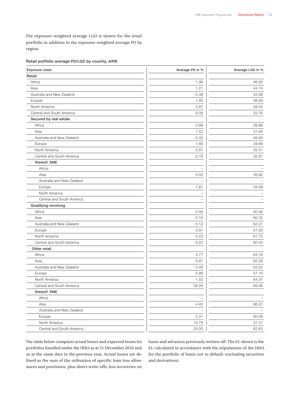The exposure-weighted average LGD is shown for the retail portfolio in addition to the exposure-weighted average PD by region.

### Retail portfolio average PD/LGD by country, AIRB

| Exposure class            | Average PD in %          | Average LGD in % |
|---------------------------|--------------------------|------------------|
| Retail                    |                          |                  |
| Africa                    | 1.96                     | 46.95            |
| Asia                      | 1.21                     | 44.74            |
| Australia and New Zealand | 0.38                     | 53.08            |
| Europe                    | 1.85                     | 38.93            |
| North America             | 0.87                     | 48.44            |
| Central and South America | 8.09                     | 52.76            |
| Secured by real estate    |                          |                  |
| Africa                    | 0.99                     | 26.86            |
| Asia                      | 1.52                     | 31.84            |
| Australia and New Zealand | 0.32                     | 46.60            |
| Europe                    | 1.69                     | 29.89            |
| North America             | 0.81                     | 35.41            |
| Central and South America | 0.16                     | 35.97            |
| thereof: SME              |                          |                  |
| Africa                    |                          |                  |
| Asia                      | 0.03                     | 26.92            |
| Australia and New Zealand |                          |                  |
| Europe                    | 1.81                     | 34.46            |
| North America             | $\overline{\phantom{0}}$ |                  |
| Central and South America |                          |                  |
| Qualifying revolving      |                          |                  |
| Africa                    | 0.56                     | 60.46            |
| Asia                      | 0.16                     | 60.32            |
| Australia and New Zealand | 0.12                     | 62.27            |
| Europe                    | 0.91                     | 61.63            |
| North America             | 0.23                     | 61.75            |
| Central and South America | 0.22                     | 60.42            |
| Other retail              |                          |                  |
| Africa                    | 3.77                     | 64.16            |
| Asia                      | 0.91                     | 62.26            |
| Australia and New Zealand | 0.49                     | 63.52            |
| Europe                    | 2.88                     | 57.10            |
| North America             | 1.53                     | 64.37            |
| Central and South America | 28.28                    | 69.46            |
| thereof: SME              |                          |                  |
| Africa                    | $\overline{\phantom{m}}$ |                  |
| Asia                      | 4.45                     | 66.57            |
| Australia and New Zealand |                          |                  |
| Europe                    | 2.31                     | 60.08            |
| North America             | 19.78                    | 27.31            |
| Central and South America | 20.00                    | 62.63            |

The table below compares actual losses and expected losses for portfolios handled under the IRBA as at 31 December 2016 and as at the same date in the previous year. Actual losses are defined as the sum of the utilisation of specific loan loss allowances and provisions, plus direct write-offs, less recoveries on

loans and advances previously written off. The EL shown is the EL calculated in accordance with the stipulations of the IRBA for the portfolio of loans not in default (excluding securities and derivatives).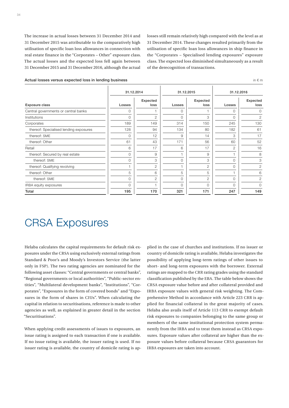<span id="page-33-0"></span>The increase in actual losses between 31 December 2014 and 31 December 2015 was attributable to the comparatively high utilisation of specific loan loss allowances in connection with real estate finance in the "Corporates – Other" exposure class. The actual losses and the expected loss fell again between 31 December 2015 and 31 December 2016, although the actual losses still remain relatively high compared with the level as at 31 December 2014. These changes resulted primarily from the utilisation of specific loan loss allowances in ship finance in the "Corporates – Specialised lending exposures" exposure class. The expected loss diminished simultaneously as a result of the derecognition of transactions.

|                                        | 31.12.2014 |                  | 31.12.2015 |                  | 31.12.2016 |                  |
|----------------------------------------|------------|------------------|------------|------------------|------------|------------------|
| Exposure class                         | Losses     | Expected<br>loss | Losses     | Expected<br>loss | Losses     | Expected<br>loss |
| Central governments or central banks   | 0          |                  | Ω          |                  | 0          | 0                |
| Institutions                           | 0          | $\overline{c}$   | $\Omega$   | 3                | $\Omega$   | $\overline{2}$   |
| Corporates                             | 189        | 149              | 314        | 150              | 245        | 130              |
| thereof: Specialised lending exposures | 128        | 94               | 134        | 80               | 182        | 61               |
| thereof: SME                           | Ω          | 12               | 9          | 14               | 3          | 17               |
| thereof: Other                         | 61         | 43               | 171        | 56               | 60         | 52               |
| Retail                                 | 6          | 17               | 6          | 17               | 2          | 16               |
| thereof: Secured by real estate        | 0          | 9                |            | 9                |            | 8                |
| thereof: SME                           | 0          | 3                | $\Omega$   | 3                | 0          | 3                |
| thereof: Qualifying revolving          |            | $\overline{2}$   |            | $\overline{2}$   | 0          | $\mathbf{2}$     |
| thereof: Other                         | 5          | 6                | 5          | 5                |            | 6                |
| thereof: SME                           | 0          | $\overline{2}$   | $\Omega$   | $\overline{2}$   | 0          | 2                |
| IRBA equity exposures                  | 0          |                  | O          | 0                | $\Omega$   | 0                |
| Total                                  | 195        | 170              | 321        | 171              | 247        | 149              |

#### Actual losses versus expected loss in lending business in  $\epsilon$  m in  $\epsilon$  m in  $\epsilon$  m in  $\epsilon$  m in  $\epsilon$  m in  $\epsilon$  m

### CRSA Exposures

Helaba calculates the capital requirements for default risk exposures under the CRSA using exclusively external ratings from Standard & Poor's and Moody's Investors Service (the latter only in FSP). The two rating agencies are nominated for the following asset classes: "Central governments or central banks", "Regional governments or local authorities", "Public-sector entities", "Multilateral development banks", "Institutions", "Corporates", "Exposures in the form of covered bonds" and "Exposures in the form of shares in CIUs". When calculating the capital in relation to securitisations, reference is made to other agencies as well, as explained in greater detail in the section "Securitisations".

When applying credit assessments of issues to exposures, an issue rating is assigned to each transaction if one is available. If no issue rating is available, the issuer rating is used. If no issuer rating is available, the country of domicile rating is ap-

plied in the case of churches and institutions. If no issuer or country of domicile rating is available, Helaba investigates the possibility of applying long-term ratings of other issues to short- and long-term exposures with the borrower. External ratings are mapped to the CRR rating grades using the standard classification published by the EBA. The table below shows the CRSA exposure value before and after collateral provided and IRBA exposure values with general risk weighting. The Comprehensive Method in accordance with Article 223 CRR is applied for financial collateral in the great majority of cases. Helaba also avails itself of Article 113 CRR to exempt default risk exposures to companies belonging to the same group or members of the same institutional protection system permanently from the IRBA and to treat them instead as CRSA exposures. Exposure values after collateral are higher than the exposure values before collateral because CRSA guarantors for IRBA exposures are taken into account.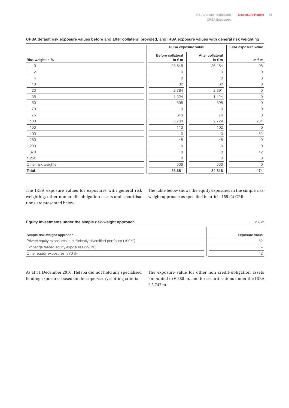|                    |                                      | CRSA exposure value                 |                     |  |
|--------------------|--------------------------------------|-------------------------------------|---------------------|--|
| Risk weight in %   | Before collateral<br>in $\epsilon$ m | After collateral<br>in $\epsilon$ m | in $\epsilon$ m     |  |
| 0                  | 23,846                               | 26,184                              | 96                  |  |
| 2                  | 0                                    | 0                                   | 0                   |  |
| 4                  | $\Omega$                             | $\circ$                             | 0                   |  |
| 10                 | 32                                   | 32                                  | 0                   |  |
| 20                 | 2,784                                | 2,891                               | 0                   |  |
| 35                 | 1,324                                | 1,424                               | 0                   |  |
| 50                 | 595                                  | 595                                 | $\circ$             |  |
| 70                 | 0                                    | 0                                   | 0                   |  |
| 75                 | 643                                  | 76                                  | 0                   |  |
| 100                | 3,760                                | 2,729                               | 284                 |  |
| 150                | 113                                  | 102                                 | $\circ$             |  |
| 190                | $\Omega$                             | $\circ$                             | 52                  |  |
| 250                | 48                                   | 48                                  | 0                   |  |
| 290                | $\Omega$                             | 0                                   | 0                   |  |
| 370                | $\Omega$                             | 0                                   | 42                  |  |
| 1.250              | O                                    | 0                                   | $\mathsf{O}\xspace$ |  |
| Other risk weights | 536                                  | 536                                 | $\circ$             |  |
| Total              | 33,681                               | 34,616                              | 474                 |  |

CRSA default risk exposure values before and after collateral provided, and IRBA exposure values with general risk weighting

The IRBA exposure values for exposures with general risk weighting, other non credit-obligation assets and securitisations are presented below.

The table below shows the equity exposures in the simple riskweight approach as specified in article 155 (2) CRR.

| Equity investments under the simple risk-weight approach                | in $\notin$ m  |
|-------------------------------------------------------------------------|----------------|
| Simple risk-weight approach                                             | Exposure value |
| Private equity exposures in sufficiently diversified portfolios (190 %) | 52             |
| Exchange traded equity exposures (290 %)                                |                |
| Other equity exposures (370 %)                                          | 42             |

As at 31 December 2016, Helaba did not hold any specialised lending exposures based on the supervisory slotting criteria.

The exposure value for other non credit-obligation assets amounted to  $\epsilon$  380 m, and for securitisations under the IRBA € 5,747 m.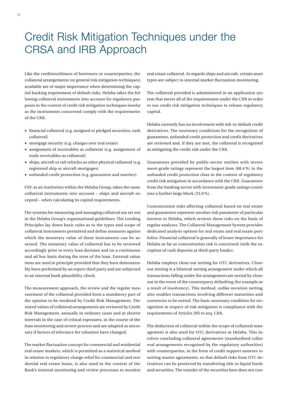### <span id="page-35-0"></span>Credit Risk Mitigation Techniques under the CRSA and IRB Approach

Like the creditworthiness of borrowers or counterparties, the collateral arrangements (or general risk mitigation techniques) available are of major importance when determining the capital backing requirement of default risks. Helaba takes the following collateral instruments into account for regulatory purposes in the context of credit risk mitigation techniques insofar as the instruments concerned comply with the requirements of the CRR:

- financial collateral (e.g. assigned or pledged securities, cash collateral)
- mortgage security (e.g. charges over real estate)
- assignment of receivables as collateral (e.g. assignment of trade receivables as collateral)
- ships, aircraft or rail vehicles as other physical collateral (e.g. registered ship or aircraft mortgages)
- unfunded credit protection (e.g. guarantees and sureties).

FSP, as an institution within the Helaba Group, takes the same collateral instruments into account – ships and aircraft excepted – when calculating its capital requirements.

The systems for measuring and managing collateral are set out in the Helaba Group's organisational guidelines. The Lending Principles lay down basic rules as to the types and scope of collateral instruments permitted and define measures against which the monetary value of these instruments can be assessed. The monetary value of collateral has to be reviewed accordingly prior to every loan decision and on a continuous and ad hoc basis during the term of the loan. External valuations are used in principle provided that they have demonstrably been performed by an expert third party and are subjected to an internal bank plausibility check.

The measurement approach, the review and the regular measurement of the collateral provided form a mandatory part of the opinion to be rendered by Credit Risk Management. The stated values of collateral arrangements are reviewed by Credit Risk Management, annually in ordinary cases and at shorter intervals in the case of critical exposures, in the course of the loan monitoring and review process and are adapted as necessary if factors of relevance for valuation have changed.

The market fluctuation concept for commercial and residential real estate markets, which is permitted as a statistical method in relation to regulatory charge relief for commercial and residential real estate loans, is also used in the context of the Bank's internal monitoring and review processes to monitor

real estate collateral. As regards ships and aircraft, certain asset types are subject to internal market fluctuation monitoring.

The collateral provided is administered in an application system that meets all of the requirements under the CRR in order to use credit risk mitigation techniques to release regulatory capital.

Helaba currently has no involvement with nth-to-default credit derivatives. The necessary conditions for the recognition of guarantees, unfunded credit protection and credit derivatives are reviewed and, if they are met, the collateral is recognised as mitigating the credit risk under the CRR.

Guarantees provided by public-sector entities with investment-grade ratings represent the largest item (68.4 %) in the unfunded credit protection class in the context of regulatory credit risk mitigation in accordance with the CRR. Guarantors from the banking sector with investment-grade ratings constitute a further large block (23.9 %).

Concentration risks affecting collateral based on real estate and guarantees represent another risk parameter of particular interest to Helaba, which reviews these risks on the basis of regular analyses. The Collateral Management System provides dedicated analysis options for real estate and real estate portfolios. Financial collateral is generally of lesser importance for Helaba as far as concentration risk is concerned (with the exception of cash deposits at third-party banks).

Helaba employs close-out netting for OTC derivatives. Closeout netting is a bilateral netting arrangement under which all transactions falling under the arrangement are netted by closeout in the event of the counterparty defaulting (for example as a result of insolvency). This method, unlike novation netting, also enables transactions involving different maturities and currencies to be netted. The basic necessary condition for recognition in respect of risk mitigation is compliance with the requirements of Articles 295 et seq. CRR.

The deduction of collateral within the scope of collateral management is also used for OTC derivatives at Helaba. This involves concluding collateral agreements (standardised collateral arrangements recognised by the regulatory authorities) with counterparties, in the form of credit support annexes to netting master agreements, so that default risks from OTC derivatives can be protected by transferring title to liquid funds and securities. The transfer of the securities here does not con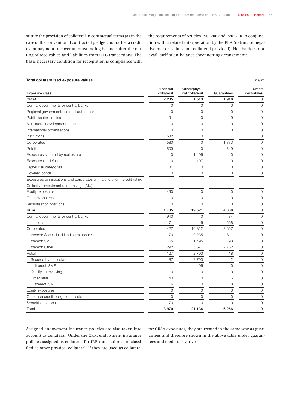stitute the provision of collateral in contractual terms (as in the case of the conventional contract of pledge), but rather a credit event payment to cover an outstanding balance after the netting of receivables and liabilities from OTC transactions. The basic necessary condition for recognition is compliance with

the requirements of Articles 196, 206 and 220 CRR in conjunction with a related interpretation by the EBA (netting of negative market values and collateral provided). Helaba does not avail itself of on-balance sheet netting arrangements.

| <b>Exposure class</b>                                                    | Financial<br>collateral  | Other/physi-<br>cal collateral | Guarantees          | Credit<br>derivatives    |
|--------------------------------------------------------------------------|--------------------------|--------------------------------|---------------------|--------------------------|
| CRSA                                                                     | 2,235                    | 1,513                          | 1,918               | 0                        |
| Central governments or central banks                                     | 0                        | 0                              | $\Omega$            | $\overline{O}$           |
| Regional governments or local authorities                                | 0                        | 0                              | 0                   | $\circ$                  |
| Public-sector entities                                                   | 91                       | $\circ$                        | 9                   | $\circ$                  |
| Multilateral development banks                                           | $\circ$                  | 0                              | 0                   | $\circ$                  |
| International organisations                                              | $\circ$                  | 0                              | 0                   | $\circ$                  |
| Institutions                                                             | 532                      | $\circ$                        | $\overline{7}$      | $\circ$                  |
| Corporates                                                               | 580                      | 0                              | 1,373               | $\circ$                  |
| Retail                                                                   | 509                      | $\Omega$                       | 519                 | $\mathbf 0$              |
| Exposures secured by real estate                                         | $\mathsf{O}\xspace$      | 1,406                          | $\mathsf{O}\xspace$ | $\circ$                  |
| Exposures in default                                                     | $\overline{0}$           | 107                            | 10                  | $\circ$                  |
| Higher risk categories                                                   | 31                       | 0                              | 0                   | $\circ$                  |
| Covered bonds                                                            | $\circ$                  | 0                              | 0                   | $\circ$                  |
| Exposures to institutions and corporates with a short-term credit rating |                          |                                |                     | $\overline{\phantom{a}}$ |
| Collective investment undertakings (CIU)                                 | $\overline{\phantom{0}}$ |                                |                     | $\overline{\phantom{m}}$ |
| Equity exposures                                                         | 490                      | 0                              | 0                   | $\circ$                  |
| Other exposures                                                          | $\circ$                  | 0                              | 0                   | $\circ$                  |
| Securitisation positions                                                 | 0                        | 0                              | $\Omega$            | $\circ$                  |
| <b>IRBA</b>                                                              | 1,735                    | 19,621                         | 4,338               | 0                        |
| Central governments or central banks                                     | 940                      | 0                              | 84                  | $\circ$                  |
| Institutions                                                             | 171                      | 6                              | 568                 | $\circ$                  |
| Corporates                                                               | 427                      | 16,822                         | 3,667               | $\circ$                  |
| thereof: Specialised lending exposures                                   | 70                       | 9,235                          | 811                 | $\circ$                  |
| thereof: SME                                                             | 65                       | 1,495                          | 93                  | $\circ$                  |
| thereof: Other                                                           | 292                      | 5,677                          | 2,762               | $\circ$                  |
| Retail                                                                   | 127                      | 2,793                          | 18                  | $\circ$                  |
| Secured by real estate                                                   | 87                       | 2,793                          | $\overline{c}$      | $\circ$                  |
| thereof: SME                                                             | 1                        | 406                            | 0                   | $\circ$                  |
| Qualifying revolving                                                     | 0                        | 0                              | 0                   | 0                        |
| Other retail                                                             | 40                       | 0                              | 16                  | $\circ$                  |
| thereof: SME                                                             | 6                        | 0                              | 8                   | $\mathbf 0$              |
| Equity exposures                                                         | $\circ$                  | $\circ$                        | $\circ$             | $\circ$                  |
| Other non credit-obligation assets                                       | $\mathbf 0$              | 0                              | 0                   | $\circ$                  |
| Securitisation positions                                                 | 70                       | 0                              | 0                   | $\circ$                  |
| Total                                                                    | 3.970                    | 21.134                         | 6.256               | $\mathbf 0$              |

#### Total collateralised exposure values in  $\epsilon$  m

Assigned endowment insurance policies are also taken into account as collateral. Under the CRR, endowment insurance policies assigned as collateral for IRB transactions are classified as other physical collateral. If they are used as collateral

for CRSA exposures, they are treated in the same way as guarantees and therefore shown in the above table under guarantees and credit derivatives.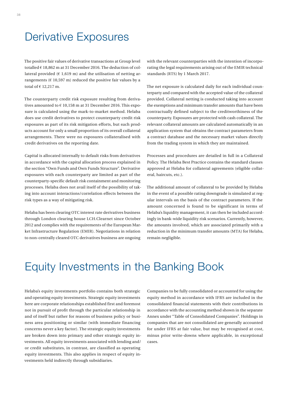### <span id="page-37-0"></span>Derivative Exposures

The positive fair values of derivative transactions at Group level totalled € 18,862 m at 31 December 2016. The deduction of collateral provided  $(6\ 1,619\ m)$  and the utilisation of netting arrangements ( $\in$  10,597 m) reduced the positive fair values by a total of € 12,217 m.

The counterparty credit risk exposure resulting from derivatives amounted to  $\epsilon$  10,158 m at 31 December 2016. This exposure is calculated using the mark-to-market method. Helaba does use credit derivatives to protect counterparty credit risk exposures as part of its risk mitigation efforts, but such products account for only a small proportion of its overall collateral arrangements. There were no exposures collateralised with credit derivatives on the reporting date.

Capital is allocated internally to default risks from derivatives in accordance with the capital allocation process explained in the section "Own Funds and Own Funds Structure". Derivative exposures with each counterparty are limited as part of the counterparty-specific default risk containment and monitoring processes. Helaba does not avail itself of the possibility of taking into account interactions/correlation effects between the risk types as a way of mitigating risk.

Helaba has been clearing OTC interest rate derivatives business through London clearing house LCH.Clearnet since October 2012 and complies with the requirements of the European Market Infrastructure Regulation (EMIR). Negotiations in relation to non-centrally cleared OTC derivatives business are ongoing

with the relevant counterparties with the intention of incorporating the legal requirements arising out of the EMIR technical standards (RTS) by 1 March 2017.

The net exposure is calculated daily for each individual counterparty and compared with the accepted value of the collateral provided. Collateral netting is conducted taking into account the exemptions and minimum transfer amounts that have been contractually defined subject to the creditworthiness of the counterparty. Exposures are protected with cash collateral. The relevant collateral amounts are calculated automatically in an application system that obtains the contract parameters from a contract database and the necessary market values directly from the trading system in which they are maintained.

Processes and procedures are detailed in full in a Collateral Policy. The Helaba Best Practice contains the standard clauses approved at Helaba for collateral agreements (eligible collateral, haircuts, etc.).

The additional amount of collateral to be provided by Helaba in the event of a possible rating downgrade is simulated at regular intervals on the basis of the contract parameters. If the amount concerned is found to be significant in terms of Helaba's liquidity management, it can then be included accordingly in bank-wide liquidity risk scenarios. Currently, however, the amounts involved, which are associated primarily with a reduction in the minimum transfer amounts (MTA) for Helaba, remain negligible.

### Equity Investments in the Banking Book

Helaba's equity investments portfolio contains both strategic and operating equity investments. Strategic equity investments here are corporate relationships established first and foremost not in pursuit of profit through the particular relationship in and of itself but rather for reasons of business policy or business area positioning or similar (with immediate financing concerns never a key factor). The strategic equity investments are broken down into primary and other strategic equity investments. All equity investments associated with lending and/ or credit substitutes, in contrast, are classified as operating equity investments. This also applies in respect of equity investments held indirectly through subsidiaries.

Companies to be fully consolidated or accounted for using the equity method in accordance with IFRS are included in the consolidated financial statements with their contributions in accordance with the accounting method shown in the separate Annex under "Table of Consolidated Companies". Holdings in companies that are not consolidated are generally accounted for under IFRS at fair value, but may be recognised at cost, minus prior write-downs where applicable, in exceptional cases.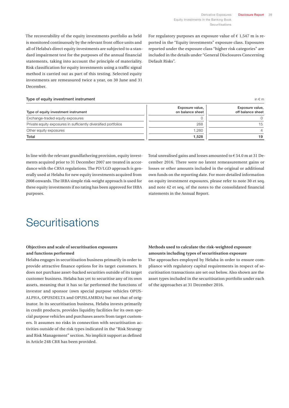<span id="page-38-0"></span>The recoverability of the equity investments portfolio as held is monitored continuously by the relevant front office units and all of Helaba's direct equity investments are subjected to a standard impairment test for the purposes of the annual financial statements, taking into account the principle of materiality. Risk classification for equity investments using a traffic signal method is carried out as part of this testing. Selected equity investments are remeasured twice a year, on 30 June and 31 December.

For regulatory purposes an exposure value of  $\epsilon$  1,547 m is reported in the "Equity investments" exposure class. Exposures reported under the exposure class "higher risk categories" are included in the details under "General Disclosures Concerning Default Risks".

### Type of equity investment instrument in  $\epsilon$  m

| Type of equity investment instrument                            | Exposure value,<br>on balance sheet | Exposure value<br>off balance sheet |
|-----------------------------------------------------------------|-------------------------------------|-------------------------------------|
| Exchange-traded equity exposures                                |                                     | Ω                                   |
| Private equity exposures in sufficiently diversified portfolios | 268                                 | 15                                  |
| Other equity exposures                                          | 1,260                               |                                     |
| Total                                                           | 1,528                               | 19                                  |

In line with the relevant grandfathering provision, equity investments acquired prior to 31 December 2007 are treated in accordance with the CRSA regulations. The PD/LGD approach is generally used at Helaba for new equity investments acquired from 2008 onwards. The IRBA simple risk-weight approach is used for these equity investments if no rating has been approved for IRBA purposes.

Total unrealised gains and losses amounted to  $\epsilon$  54.0 m at 31 December 2016. There were no latent remeasurement gains or losses or other amounts included in the original or additional own funds on the reporting date. For more detailed information on equity investment exposures, please refer to note 30 et seq. and note 42 et seq. of the notes to the consolidated financial statements in the Annual Report.

### **Securitisations**

### **Objectives and scale of securitisation exposures and functions performed**

Helaba engages in securitisation business primarily in order to provide attractive finance options for its target customers. It does not purchase asset-backed securities outside of its target customer business. Helaba has yet to securitise any of its own assets, meaning that it has so far performed the functions of investor and sponsor (own special purpose vehicles OPUS-ALPHA, OPUSDELTA and OPUSLAMBDA) but not that of originator. In its securitisation business, Helaba invests primarily in credit products, provides liquidity facilities for its own special purpose vehicles and purchases assets from target customers. It assumes no risks in connection with securitisation activities outside of the risk types indicated in the "Risk Strategy and Risk Management" section. No implicit support as defined in Article 248 CRR has been provided.

### **Methods used to calculate the risk-weighted exposure amounts including types of securitisation exposure**

The approaches employed by Helaba in order to ensure compliance with regulatory capital requirements in respect of securitisation transactions are set out below. Also shown are the asset types included in the securitisation portfolio under each of the approaches at 31 December 2016.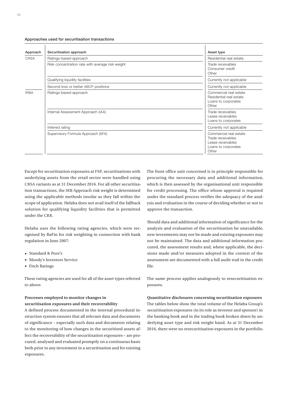### Approaches used for securitisation transactions

| Approach    | Securitisation approach                          | Asset type                                                                                       |
|-------------|--------------------------------------------------|--------------------------------------------------------------------------------------------------|
| <b>CRSA</b> | Ratings-based approach                           | Residential real estate                                                                          |
|             | Risk concentration rate with average risk weight | Trade receivables<br>Consumer credit<br>Other                                                    |
|             | Qualifying liquidity facilities                  | Currently not applicable                                                                         |
|             | Second-loss or better ABCP positions             | Currently not applicable                                                                         |
| <b>IRBA</b> | Ratings-based approach                           | Commercial real estate<br>Residential real estate<br>Loans to corporates<br>Other                |
|             | Internal Assessment Approach (IAA)               | Trade receivables<br>Lease receivables<br>Loans to corporates                                    |
|             | Inferred rating                                  | Currently not applicable                                                                         |
|             | Supervisory Formula Approach (SFA)               | Commercial real estate<br>Trade receivables<br>Lease receivables<br>Loans to corporates<br>Other |

Except for securitisation exposures at FSP, securitisations with underlying assets from the retail sector were handled using CRSA variants as at 31 December 2016. For all other securitisation transactions, the IRB Approach risk weight is determined using the applicable methods insofar as they fall within the scope of application. Helaba does not avail itself of the fallback solution for qualifying liquidity facilities that is permitted under the CRR.

Helaba uses the following rating agencies, which were recognised by BaFin for risk weighting in connection with bank regulation in June 2007:

- Standard & Poor's
- Moody's Investors Service
- Fitch Ratings

These rating agencies are used for all of the asset types referred to above.

### **Processes employed to monitor changes in securitisation exposures and their recoverability**

A defined process documented in the internal procedural instruction system ensures that all relevant data and documents of significance – especially such data and documents relating to the monitoring of how changes in the securitised assets affect the recoverability of the securitisation exposures – are procured, analysed and evaluated promptly on a continuous basis both prior to any investment in a securitisation and for existing exposures.

The front office unit concerned is in principle responsible for procuring the necessary data and additional information, which is then assessed by the organisational unit responsible for credit processing. The office whose approval is required under the standard process verifies the adequacy of the analysis and evaluation in the course of deciding whether or not to approve the transaction.

Should data and additional information of significance for the analysis and evaluation of the securitisation be unavailable, new investments may not be made and existing exposures may not be maintained. The data and additional information procured, the assessment results and, where applicable, the decisions made and/or measures adopted in the context of the assessment are documented with a full audit trail in the credit file.

The same process applies analogously to resecuritisation exposures.

### **Quantitative disclosures concerning securitisation exposures**

The tables below show the total volume of the Helaba Group's securitisation exposures (in its role as investor and sponsor) in the banking book and in the trading book broken down by underlying asset type and risk weight band. As at 31 December 2016, there were no resecuritisation exposures in the portfolio.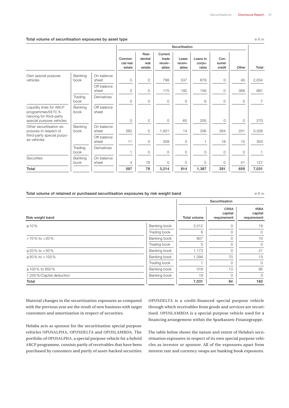#### Total volume of securitisation exposures by asset type in  $\epsilon$  m

|                                                                            |                 |                      | Securitisation                 |                                    |                                      |                           |                             |                         |       |       |
|----------------------------------------------------------------------------|-----------------|----------------------|--------------------------------|------------------------------------|--------------------------------------|---------------------------|-----------------------------|-------------------------|-------|-------|
|                                                                            |                 |                      | Commer-<br>cial real<br>estate | Resi-<br>dential<br>real<br>estate | Current<br>trade<br>receiv-<br>ables | Lease<br>receiv-<br>ables | Loans to<br>corpo-<br>rates | Con-<br>sumer<br>credit | Other | Total |
| Own special purpose<br>vehicles                                            | Banking<br>book | On balance<br>sheet  | 0                              | 0                                  | 798                                  | 537                       | 679                         | 0                       | 40    | 2,054 |
|                                                                            |                 | Off balance<br>sheet | 0                              | 0                                  | 175                                  | 192                       | 156                         | 0                       | 368   | 891   |
|                                                                            | Trading<br>book | Derivatives          | 0                              | 0                                  | 0                                    | 0                         | 6                           | 0                       | 0     | 7     |
| Liquidity lines for ABCP<br>programmes/EETC fi-<br>nancing for third-party | Banking<br>book | Off balance<br>sheet |                                |                                    |                                      |                           |                             |                         |       |       |
| special purpose vehicles                                                   |                 |                      | 0                              | 0                                  | 0                                    | 65                        | 205                         | 0                       | 0     | 270   |
| Other securitisation ex-<br>posures in respect of                          | Banking<br>book | On balance<br>sheet  | 582                            | 0                                  | 1,931                                | 14                        | 336                         | 264                     | 201   | 3,328 |
| third-party special purpo-<br>se vehicles                                  |                 | Off balance<br>sheet | 11                             | 0                                  | 309                                  | 5                         |                             | 18                      | 10    | 353   |
|                                                                            | Trading<br>book | Derivatives          |                                | 0                                  | $\mathsf{O}\xspace$                  | 0                         | 0                           | 0                       | 0     | 1     |
| Securities                                                                 | Banking<br>book | On balance<br>sheet  | 4                              | 78                                 | 0                                    | 0                         | 5                           | 0                       | 41    | 127   |
| Total                                                                      |                 |                      | 597                            | 78                                 | 3,214                                | 814                       | 1,387                       | 281                     | 659   | 7,031 |

Total volume of retained or purchased securitisation exposures by risk weight band in  $\epsilon$  m in  $\epsilon$  m in  $\epsilon$  m

|                          |              | Securitisation      |                                |                                       |
|--------------------------|--------------|---------------------|--------------------------------|---------------------------------------|
| Risk weight band         |              | <b>Total volume</b> | CRSA<br>capital<br>requirement | <b>IRBA</b><br>capital<br>requirement |
| $\leq 10\%$              | Banking book | 3,312               | 0                              | 19                                    |
|                          | Trading book | 6                   | $\Omega$                       | $\circ$                               |
| $>10\%$ to $< 20\%$      | Banking book | 807                 | 0                              | 10                                    |
|                          | Trading book | $\Omega$            | $\Omega$                       | $\circ$                               |
| ≥20% to <50%             | Banking book | 1,173               | $\Omega$                       | 21                                    |
| ≥50% to <100%            | Banking book | 1,394               | 70                             | 13                                    |
|                          | Trading book |                     | $\Omega$                       | $\circ$                               |
| ≥ 100 % to 850 %         | Banking book | 318                 | 13                             | 95                                    |
| 1,250%/Capital deduction | Banking book | 19                  | 0                              | 3                                     |
| Total                    |              | 7,031               | 84                             | 162                                   |

Material changes in the securitisation exposures as compared with the previous year are the result of new business with target customers and amortisation in respect of securities.

Helaba acts as sponsor for the securitisation special purpose vehicles OPUSALPHA, OPUSDELTA and OPUSLAMBDA. The portfolio of OPUSALPHA, a special purpose vehicle for a hybrid ABCP programme, consists partly of receivables that have been purchased by customers and partly of asset-backed securities. OPUSDELTA is a credit-financed special purpose vehicle through which receivables from goods and services are securitised. OPUSLAMBDA is a special purpose vehicle used for a financing arrangement within the Sparkassen-Finanzgruppe.

The table below shows the nature and extent of Helaba's securitisation exposures in respect of its own special purpose vehicles as investor or sponsor. All of the exposures apart from interest rate and currency swaps are banking book exposures.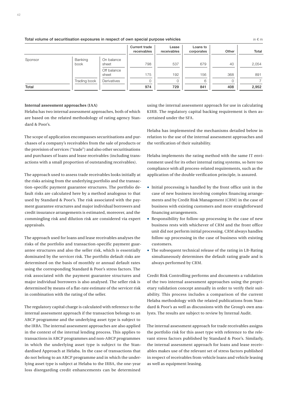### Total volume of securitisation exposures in respect of own special purpose vehicles in  $\epsilon$  m in  $\epsilon$  m

|         |                 |                                    | Current trade<br>receivables | Lease<br>receivables | Loans to<br>corporates | Other | Total |
|---------|-----------------|------------------------------------|------------------------------|----------------------|------------------------|-------|-------|
| Sponsor | Banking<br>book | On balance<br>sheet<br>Off balance | 798                          | 537                  | 679                    | 40    | 2,054 |
|         |                 | sheet                              | 175                          | 192                  | 156                    | 368   | 891   |
|         | Trading book    | Derivatives                        | $\Omega$                     |                      | 6                      | 0     |       |
| Total   |                 |                                    | 974                          | 729                  | 841                    | 408   | 2,952 |

#### **Internal assessment approaches (IAA)**

Helaba has two internal assessment approaches, both of which are based on the related methodology of rating agency Standard & Poor's.

The scope of application encompasses securitisations and purchases of a company's receivables from the sale of products or the provision of services ("trade") and also other securitisations and purchases of loans and lease receivables (including transactions with a small proportion of outstanding receivables).

The approach used to assess trade receivables looks initially at the risks arising from the underlying portfolio and the transaction-specific payment guarantee structures. The portfolio default risks are calculated here by a method analogous to that used by Standard & Poor's. The risk associated with the payment guarantee structures and major individual borrowers and credit insurance arrangements is estimated, moreover, and the commingling risk and dilution risk are considered via expert appraisals.

The approach used for loans and lease receivables analyses the risks of the portfolio and transaction-specific payment guarantee structures and also the seller risk, which is essentially dominated by the servicer risk. The portfolio default risks are determined on the basis of monthly or annual default rates using the corresponding Standard & Poor's stress factors. The risk associated with the payment guarantee structures and major individual borrowers is also analysed. The seller risk is determined by means of a flat-rate estimate of the servicer risk in combination with the rating of the seller.

The regulatory capital charge is calculated with reference to the internal assessment approach if the transaction belongs to an ABCP programme and the underlying asset type is subject to the IRBA. The internal assessment approaches are also applied in the context of the internal lending process. This applies to transactions in ABCP programmes and non-ABCP programmes in which the underlying asset type is subject to the Standardised Approach at Helaba. In the case of transactions that do not belong to an ABCP programme and in which the underlying asset type is subject at Helaba to the IRBA, the one-year loss disregarding credit enhancements can be determined

using the internal assessment approach for use in calculating KIRB. The regulatory capital backing requirement is then ascertained under the SFA.

Helaba has implemented the mechanisms detailed below in relation to the use of the internal assessment approaches and the verification of their suitability.

Helaba implements the rating method with the same IT environment used for its other internal rating systems, so here too compliance with all process-related requirements, such as the application of the double verification principle, is assured.

- Initial processing is handled by the front office unit in the case of new business involving complex financing arrangements and by Credit Risk Management (CRM) in the case of business with existing customers and more straightforward financing arrangements.
- Responsibility for follow-up processing in the case of new business rests with whichever of CRM and the front office unit did not perform initial processing. CRM always handles follow-up processing in the case of business with existing customers.
- The subsequent technical release of the rating in LB-Rating simultaneously determines the default rating grade and is always performed by CRM.

Credit Risk Controlling performs and documents a validation of the two internal assessment approaches using the proprietary validation concept annually in order to verify their suitability. This process includes a comparison of the current Helaba methodology with the related publications from Standard & Poor's as well as discussions with the Group's own analysts. The results are subject to review by Internal Audit.

The internal assessment approach for trade receivables assigns the portfolio risk for this asset type with reference to the relevant stress factors published by Standard & Poor's. Similarly, the internal assessment approach for loans and lease receivables makes use of the relevant set of stress factors published in respect of receivables from vehicle loans and vehicle leasing as well as equipment leasing.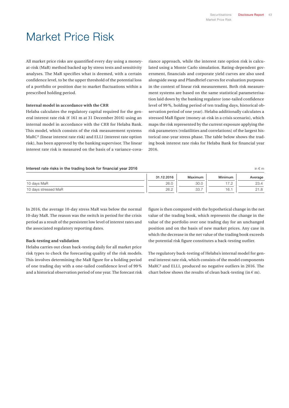## <span id="page-42-0"></span>Market Price Risk

All market price risks are quantified every day using a moneyat-risk (MaR) method backed up by stress tests and sensitivity analyses. The MaR specifies what is deemed, with a certain confidence level, to be the upper threshold of the potential loss of a portfolio or position due to market fluctuations within a prescribed holding period.

### **Internal model in accordance with the CRR**

Helaba calculates the regulatory capital required for the general interest rate risk (€ 161 m at 31 December 2016) using an internal model in accordance with the CRR for Helaba Bank. This model, which consists of the risk measurement systems MaRC² (linear interest rate risk) and ELLI (interest rate option risk), has been approved by the banking supervisor. The linear interest rate risk is measured on the basis of a variance-covariance approach, while the interest rate option risk is calculated using a Monte Carlo simulation. Rating-dependent government, financials and corporate yield curves are also used alongside swap and Pfandbrief curves for evaluation purposes in the context of linear risk measurement. Both risk measurement systems are based on the same statistical parameterisation laid down by the banking regulator (one-tailed confidence level of 99 %, holding period of ten trading days, historical observation period of one year). Helaba additionally calculates a stressed MaR figure (money-at-risk in a crisis scenario), which maps the risk represented by the current exposure applying the risk parameters (volatilities and correlations) of the largest historical one-year stress phase. The table below shows the trading book interest rate risks for Helaba Bank for financial year 2016.

#### Interest rate risks in the trading book for financial year 2016 in  $\epsilon$  m

|                      | 31.12.2016 | Maximum   | Minimum                         | Average |
|----------------------|------------|-----------|---------------------------------|---------|
| 10 days MaR          | 26.0       | 30.0      | 170<br>$\overline{\phantom{a}}$ | 23.4    |
| 10 days stressed MaR | 26.2       | 33.7<br>- | 16.7                            | 21.8    |

In 2016, the average 10-day stress MaR was below the normal 10-day MaR. The reason was the switch in period for the crisis period as a result of the persistent low level of interest rates and the associated regulatory reporting dates.

### **Back-testing and validation**

Helaba carries out clean back-testing daily for all market price risk types to check the forecasting quality of the risk models. This involves determining the MaR figure for a holding period of one trading day with a one-tailed confidence level of 99 % and a historical observation period of one year. The forecast risk

figure is then compared with the hypothetical change in the net value of the trading book, which represents the change in the value of the portfolio over one trading day for an unchanged position and on the basis of new market prices. Any case in which the decrease in the net value of the trading book exceeds the potential risk figure constitutes a back-testing outlier.

The regulatory back-testing of Helaba's internal model for general interest rate risk, which consists of the model components MaRC² and ELLI, produced no negative outliers in 2016. The chart below shows the results of clean back-testing (in  $\epsilon$  m).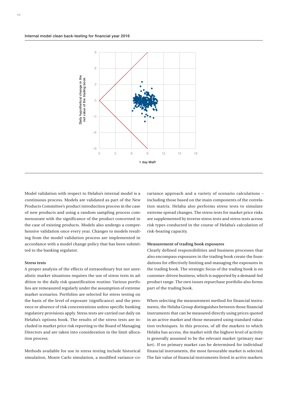

Model validation with respect to Helaba's internal model is a continuous process. Models are validated as part of the New Products Committee's product introduction process in the case of new products and using a random sampling process commensurate with the significance of the product concerned in the case of existing products. Models also undergo a comprehensive validation once every year. Changes to models resulting from the model validation process are implemented in accordance with a model change policy that has been submitted to the banking regulator.

### **Stress tests**

A proper analysis of the effects of extraordinary but not unrealistic market situations requires the use of stress tests in addition to the daily risk quantification routine. Various portfolios are remeasured regularly under the assumption of extreme market scenarios. Portfolios are selected for stress testing on the basis of the level of exposure (significance) and the presence or absence of risk concentrations unless specific banking regulatory provisions apply. Stress tests are carried out daily on Helaba's options book. The results of the stress tests are included in market price risk reporting to the Board of Managing Directors and are taken into consideration in the limit allocation process.

Methods available for use in stress testing include historical simulation, Monte Carlo simulation, a modified variance-covariance approach and a variety of scenario calculations – including those based on the main components of the correlation matrix. Helaba also performs stress tests to simulate extreme spread changes. The stress tests for market price risks are supplemented by inverse stress tests and stress tests across risk types conducted in the course of Helaba's calculation of risk-bearing capacity.

### **Measurement of trading book exposures**

Clearly defined responsibilities and business processes that also encompass exposures in the trading book create the foundations for effectively limiting and managing the exposures in the trading book. The strategic focus of the trading book is on customer-driven business, which is supported by a demand-led product range. The own issues repurchase portfolio also forms part of the trading book.

When selecting the measurement method for financial instruments, the Helaba Group distinguishes between those financial instruments that can be measured directly using prices quoted in an active market and those measured using standard valuation techniques. In this process, of all the markets to which Helaba has access, the market with the highest level of activity is generally assumed to be the relevant market (primary market). If no primary market can be determined for individual financial instruments, the most favourable market is selected. The fair value of financial instruments listed in active markets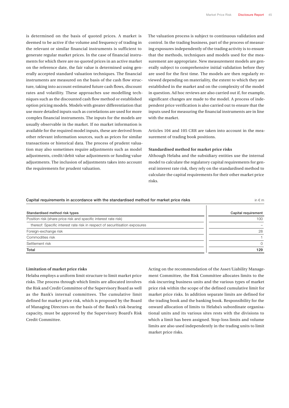is determined on the basis of quoted prices. A market is deemed to be active if the volume and frequency of trading in the relevant or similar financial instruments is sufficient to generate regular market prices. In the case of financial instruments for which there are no quoted prices in an active market on the reference date, the fair value is determined using generally accepted standard valuation techniques. The financial instruments are measured on the basis of the cash flow structure, taking into account estimated future cash flows, discount rates and volatility. These approaches use modelling techniques such as the discounted cash flow method or established option pricing models. Models with greater differentiation that use more detailed inputs such as correlations are used for more complex financial instruments. The inputs for the models are usually observable in the market. If no market information is available for the required model inputs, these are derived from other relevant information sources, such as prices for similar transactions or historical data. The process of prudent valuation may also sometimes require adjustments such as model adjustments, credit/debit value adjustments or funding value adjustments. The inclusion of adjustments takes into account the requirements for prudent valuation.

The valuation process is subject to continuous validation and control. In the trading business, part of the process of measuring exposures independently of the trading activity is to ensure that the methods, techniques and models used for the measurement are appropriate. New measurement models are generally subject to comprehensive initial validation before they are used for the first time. The models are then regularly reviewed depending on materiality, the extent to which they are established in the market and on the complexity of the model in question. Ad hoc reviews are also carried out if, for example, significant changes are made to the model. A process of independent price verification is also carried out to ensure that the inputs used for measuring the financial instruments are in line with the market.

Articles 104 and 105 CRR are taken into account in the measurement of trading book positions.

#### **Standardised method for market price risks**

Although Helaba and the subsidiary entities use the internal model to calculate the regulatory capital requirements for general interest rate risk, they rely on the standardised method to calculate the capital requirements for their other market price risks.

| Capital requirements in accordance with the standardised method for market price risks | in $\notin$ m       |
|----------------------------------------------------------------------------------------|---------------------|
| Standardised method risk types                                                         | Capital requirement |
| Position risk (share price risk and specific interest rate risk)                       | 100                 |
| thereof: Specific interest rate risk in respect of securitisation exposures            |                     |
| Foreign-exchange risk                                                                  | 28                  |
| Commodities risk                                                                       |                     |

Settlement risk 0 Total 129

### **Limitation of market price risks**

Helaba employs a uniform limit structure to limit market price risks. The process through which limits are allocated involves the Risk and Credit Committee of the Supervisory Board as well as the Bank's internal committees. The cumulative limit defined for market price risk, which is proposed by the Board of Managing Directors on the basis of the Bank's risk-bearing capacity, must be approved by the Supervisory Board's Risk Credit Committee.

Acting on the recommendation of the Asset/Liability Management Committee, the Risk Committee allocates limits to the risk-incurring business units and the various types of market price risk within the scope of the defined cumulative limit for market price risks. In addition separate limits are defined for the trading book and the banking book. Responsibility for the onward allocation of limits to Helaba's subordinate organisational units and its various sites rests with the divisions to which a limit has been assigned. Stop-loss limits and volume limits are also used independently in the trading units to limit market price risks.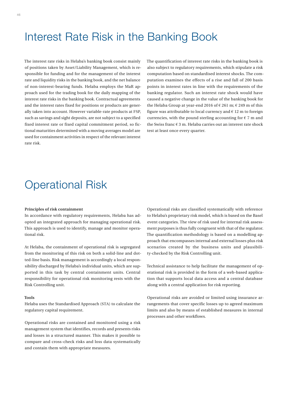### <span id="page-45-0"></span>Interest Rate Risk in the Banking Book

The interest rate risks in Helaba's banking book consist mainly of positions taken by Asset/Liability Management, which is responsible for funding and for the management of the interest rate and liquidity risks in the banking book, and the net balance of non-interest-bearing funds. Helaba employs the MaR approach used for the trading book for the daily mapping of the interest rate risks in the banking book. Contractual agreements and the interest rates fixed for positions or products are generally taken into account. However variable-rate products at FSP, such as savings and sight deposits, are not subject to a specified fixed interest rate or fixed capital commitment period, so fictional maturities determined with a moving averages model are used for containment activities in respect of the relevant interest rate risk.

The quantification of interest rate risks in the banking book is also subject to regulatory requirements, which stipulate a risk computation based on standardised interest shocks. The computation examines the effects of a rise and fall of 200 basis points in interest rates in line with the requirements of the banking regulator. Such an interest rate shock would have caused a negative change in the value of the banking book for the Helaba Group at year-end 2016 of  $\epsilon$  261 m;  $\epsilon$  249 m of this figure was attributable to local currency and  $\epsilon$  12 m to foreign currencies, with the pound sterling accounting for  $\epsilon$  7 m and the Swiss franc $\in$  3 m. Helaba carries out an interest rate shock test at least once every quarter.

### Operational Risk

### **Principles of risk containment**

In accordance with regulatory requirements, Helaba has adopted an integrated approach for managing operational risk. This approach is used to identify, manage and monitor operational risk.

At Helaba, the containment of operational risk is segregated from the monitoring of this risk on both a solid-line and dotted-line basis. Risk management is accordingly a local responsibility discharged by Helaba's individual units, which are supported in this task by central containment units. Central responsibility for operational risk monitoring rests with the Risk Controlling unit.

#### **Tools**

Helaba uses the Standardised Approach (STA) to calculate the regulatory capital requirement.

Operational risks are contained and monitored using a risk management system that identifies, records and presents risks and losses in a structured manner. This makes it possible to compare and cross-check risks and loss data systematically and contain them with appropriate measures.

Operational risks are classified systematically with reference to Helaba's proprietary risk model, which is based on the Basel event categories. The view of risk used for internal risk assessment purposes is thus fully congruent with that of the regulator. The quantification methodology is based on a modelling approach that encompasses internal and external losses plus risk scenarios created by the business units and plausibility-checked by the Risk Controlling unit.

Technical assistance to help facilitate the management of operational risk is provided in the form of a web-based application that supports local data access and a central database along with a central application for risk reporting.

Operational risks are avoided or limited using insurance arrangements that cover specific losses up to agreed maximum limits and also by means of established measures in internal processes and other workflows.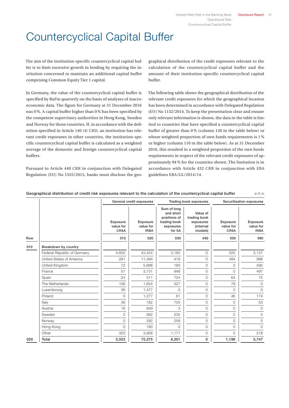### <span id="page-46-0"></span>Countercyclical Capital Buffer

The aim of the institution-specific countercyclical capital buffer is to limit excessive growth in lending by requiring the institution concerned to maintain an additional capital buffer comprising Common Equity Tier 1 capital.

In Germany, the value of the countercyclical capital buffer is specified by BaFin quarterly on the basis of analyses of macroeconomic data. The figure for Germany at 31 December 2016 was 0 %. A capital buffer higher than 0 % has been specified by the competent supervisory authorities in Hong Kong, Sweden and Norway for those countries. If, in accordance with the definition specified in Article 140 (4) CRD, an institution has relevant credit exposures in other countries, the institution-specific countercyclical capital buffer is calculated as a weighted average of the domestic and foreign countercyclical capital buffers.

Pursuant to Article 440 CRR in conjunction with Delegated Regulation (EU) No 1555/2015, banks must disclose the geographical distribution of the credit exposures relevant to the calculation of the countercyclical capital buffer and the amount of their institution-specific countercyclical capital buffer.

The following table shows the geographical distribution of the relevant credit exposures for which the geographical location has been determined in accordance with Delegated Regulation (EU) No 1152/2014. To keep the presentation clear and ensure only relevant information is shown, the data in the table is limited to countries that have specified a countercyclical capital buffer of greater than 0 % (column 120 in the table below) or whose weighted proportion of own funds requirements is 1 % or higher (column 110 in the table below). As at 31 December 2016, this resulted in a weighted proportion of the own funds requirements in respect of the relevant credit exposures of approximately 94 % for the countries shown. The limitation is in accordance with Article 432 CRR in conjunction with EBA guidelines EBA/GL/2014/14.

|     |                             |                               | General credit exposures             |                                                                                 | Trading book exposures                                               |                               | Securitisation exposures             |
|-----|-----------------------------|-------------------------------|--------------------------------------|---------------------------------------------------------------------------------|----------------------------------------------------------------------|-------------------------------|--------------------------------------|
|     |                             | Exposure<br>value for<br>CRSA | Exposure<br>value for<br><b>IRBA</b> | Sum of long<br>and short<br>positions of<br>trading book<br>exposures<br>for SA | Value of<br>trading book<br>exposures<br><i>(internal</i><br>models) | Exposure<br>value for<br>CRSA | Exposure<br>value for<br><b>IRBA</b> |
| Row |                             | 010                           | 020                                  | 030                                                                             | 040                                                                  | 050                           | 060                                  |
| 010 | Breakdown by country        |                               |                                      |                                                                                 |                                                                      |                               |                                      |
|     | Federal Republic of Germany | 4,602                         | 43,424                               | 3,165                                                                           | $\Omega$                                                             | 525                           | 3,137                                |
|     | United States of America    | 281                           | 11,494                               | 419                                                                             | $\Omega$                                                             | 484                           | 998                                  |
|     | United Kingdom              | 72                            | 5,686                                | 180                                                                             | $\Omega$                                                             | $\Omega$                      | 595                                  |
|     | France                      | 57                            | 3,731                                | 948                                                                             | $\Omega$                                                             | $\Omega$                      | 497                                  |
|     | Spain                       | 24                            | 511                                  | 724                                                                             | $\Omega$                                                             | 64                            | 75                                   |
|     | The Netherlands             | 106                           | 1,654                                | 327                                                                             | 0                                                                    | 79                            | $\circ$                              |
|     | Luxembourg                  | 36                            | 1,477                                | 5                                                                               | 0                                                                    | 0                             | $\overline{O}$                       |
|     | Poland                      | $\Omega$                      | 1,277                                | 61                                                                              | $\Omega$                                                             | 46                            | 174                                  |
|     | Italy                       | 36                            | 182                                  | 705                                                                             | $\Omega$                                                             | 0                             | 53                                   |
|     | Austria                     | 16                            | 849                                  | 3                                                                               | $\Omega$                                                             | $\Omega$                      | $\mathbf 0$                          |
|     | Sweden                      | $\overline{c}$                | 562                                  | 235                                                                             | $\Omega$                                                             | 0                             | 0                                    |
|     | Norway                      | $\Omega$                      | 282                                  | 258                                                                             | $\Omega$                                                             | $\Omega$                      | 0                                    |
|     | Hong Kong                   | $\Omega$                      | 190                                  | $\Omega$                                                                        | $\Omega$                                                             | 0                             | $\overline{O}$                       |
|     | Other                       | 320                           | 3,956                                | 1,171                                                                           | 0                                                                    | $\Omega$                      | 218                                  |
| 020 | Total                       | 5,553                         | 75,275                               | 8,201                                                                           | 0                                                                    | 1,198                         | 5,747                                |

### Geographical distribution of credit risk exposures relevant to the calculation of the countercyclical capital buffer  $\sin \theta$  m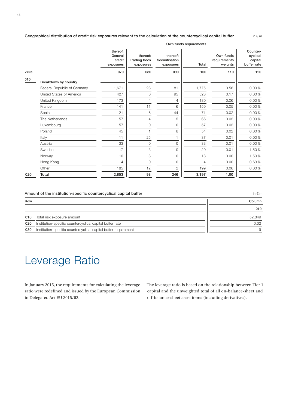<span id="page-47-0"></span>

| Geographical distribution of credit risk exposures relevant to the calculation of the countercyclical capital buffer |  |  | in $\epsilon$ m |
|----------------------------------------------------------------------------------------------------------------------|--|--|-----------------|
|----------------------------------------------------------------------------------------------------------------------|--|--|-----------------|

|       |                             | Own funds requirements                     |                                              |                                         |                |                                      |                                                |
|-------|-----------------------------|--------------------------------------------|----------------------------------------------|-----------------------------------------|----------------|--------------------------------------|------------------------------------------------|
|       |                             | thereof:<br>General<br>credit<br>exposures | thereof:<br><b>Trading book</b><br>exposures | thereof:<br>Securitisation<br>exposures | Total          | Own funds<br>requirements<br>weights | Counter-<br>cyclical<br>capital<br>buffer rate |
| Zeile |                             | 070                                        | 080                                          | 090                                     | 100            | 110                                  | 120                                            |
| 010   | Breakdown by country        |                                            |                                              |                                         |                |                                      |                                                |
|       | Federal Republic of Germany | 1,671                                      | 23                                           | 81                                      | 1,775          | 0.56                                 | 0.00%                                          |
|       | United States of America    | 427                                        | 6                                            | 95                                      | 528            | 0.17                                 | 0.00%                                          |
|       | United Kingdom              | 173                                        | 4                                            | 4                                       | 180            | 0.06                                 | 0.00%                                          |
|       | France                      | 141                                        | 11                                           | 6                                       | 159            | 0.05                                 | 0.00%                                          |
|       | Spain                       | 21                                         | 6                                            | 44                                      | 71             | 0.02                                 | 0.00%                                          |
|       | The Netherlands             | 57                                         | 4                                            | 5                                       | 66             | 0.02                                 | 0.00%                                          |
|       | Luxembourg                  | 57                                         | 0                                            | 0                                       | 57             | 0.02                                 | $0.00\%$                                       |
|       | Poland                      | 45                                         |                                              | 8                                       | 54             | 0.02                                 | 0.00%                                          |
|       | Italy                       | 11                                         | 25                                           | 1                                       | 37             | 0.01                                 | 0.00%                                          |
|       | Austria                     | 33                                         | 0                                            | 0                                       | 33             | 0.01                                 | 0.00%                                          |
|       | Sweden                      | 17                                         | 3                                            | 0                                       | 20             | 0.01                                 | 1.50%                                          |
|       | Norway                      | 10                                         | 3                                            | 0                                       | 13             | 0.00                                 | 1.50%                                          |
|       | Hong Kong                   | $\overline{4}$                             | 0                                            | 0                                       | $\overline{4}$ | 0.00                                 | 0.63%                                          |
|       | Other                       | 185                                        | 12                                           | $\mathbf{2}$                            | 199            | 0.06                                 | 0.00%                                          |
| 020   | Total                       | 2,853                                      | 98                                           | 246                                     | 3,197          | 1.00                                 |                                                |

|     | Amount of the institution-specific countercyclical capital buffer | in $\epsilon$ m |
|-----|-------------------------------------------------------------------|-----------------|
| Row |                                                                   | Column          |
|     |                                                                   | 010             |
| 010 | Total risk exposure amount                                        | 52.849          |
| 020 | Institution-specific countercyclical capital buffer rate          | 0.02            |
| 030 | Institution-specific countercyclical capital buffer requirement   | 9               |

## Leverage Ratio

In January 2015, the requirements for calculating the leverage ratio were redefined and issued by the European Commission in Delegated Act EU 2015/62.

The leverage ratio is based on the relationship between Tier 1 capital and the unweighted total of all on-balance-sheet and off-balance-sheet asset items (including derivatives).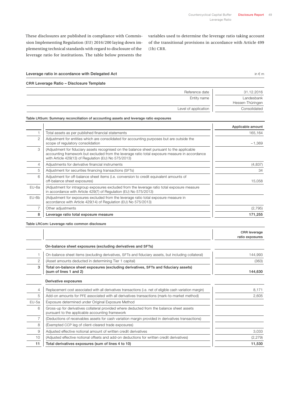These disclosures are published in compliance with Commission Implementing Regulation (EU) 2016/200 laying down implementing technical standards with regard to disclosure of the leverage ratio for institutions. The table below presents the

variables used to determine the leverage ratio taking account of the transitional provisions in accordance with Article 499 (1b) CRR.

### Leverage ratio in accordance with Delegated Act in  $\epsilon$  m

### CRR Leverage Ratio – Disclosure Template

| 31.12.2016                     | Reference date       |
|--------------------------------|----------------------|
| Landesbank<br>Hessen-Thüringen | Entity name          |
| Consolidated                   | Level of application |
|                                |                      |

#### Table LRSum: Summary reconciliation of accounting assets and leverage ratio exposures

|       |                                                                                                                                                                                                                                                       | Applicable amount |
|-------|-------------------------------------------------------------------------------------------------------------------------------------------------------------------------------------------------------------------------------------------------------|-------------------|
|       | Total assets as per published financial statements                                                                                                                                                                                                    | 165,164           |
| 2     | Adjustment for entities which are consolidated for accounting purposes but are outside the<br>scope of regulatory consolidation                                                                                                                       | $-1,369$          |
| З     | (Adjustment for fiduciary assets recognised on the balance sheet pursuant to the applicable<br>accounting framework but excluded from the leverage ratio total exposure measure in accordance<br>with Article 429(13) of Regulation (EU) No 575/2013) |                   |
|       | Adjustments for derivative financial instruments                                                                                                                                                                                                      | (4,837)           |
| 5     | Adjustment for securities financing transactions (SFTs)                                                                                                                                                                                               | 34                |
| 6     | Adjustment for off-balance sheet items (i.e. conversion to credit equivalent amounts of<br>off-balance sheet exposures)                                                                                                                               | 15,058            |
| EU-6a | (Adjustment for intragroup exposures excluded from the leverage ratio total exposure measure<br>in accordance with Article 429(7) of Regulation (EU) No 575/2013)                                                                                     |                   |
| EU-6b | (Adjustment for exposures excluded from the leverage ratio total exposure measure in<br>accordance with Article 429(14) of Regulation (EU) No 575/2013)                                                                                               |                   |
|       | Other adjustments                                                                                                                                                                                                                                     | (2,795)           |
| 8     | Leverage ratio total exposure measure                                                                                                                                                                                                                 | 171,255           |

#### Table LRCom: Leverage ratio common disclosure

|                |                                                                                                                                              | <b>CRR</b> leverage<br>ratio exposures |
|----------------|----------------------------------------------------------------------------------------------------------------------------------------------|----------------------------------------|
|                | On-balance sheet exposures (excluding derivatives and SFTs)                                                                                  |                                        |
|                | On-balance sheet items (excluding derivatives, SFTs and fiduciary assets, but including collateral)                                          | 144,993                                |
| $\overline{2}$ | (Asset amounts deducted in determining Tier 1 capital)                                                                                       | (363)                                  |
| 3              | Total on-balance sheet exposures (excluding derivatives, SFTs and fiduciary assets)<br>(sum of lines 1 and 2)                                | 144,630                                |
|                | Derivative exposures                                                                                                                         |                                        |
| 4              | Replacement cost associated with all derivatives transactions (i.e. net of eligible cash variation margin)                                   | 8,171                                  |
| 5              | Add-on amounts for PFE associated with all derivatives transactions (mark-to-market method)                                                  | 2,605                                  |
| $EU-5a$        | Exposure determined under Original Exposure Method                                                                                           |                                        |
| 6              | Gross-up for derivatives collateral provided where deducted from the balance sheet assets<br>pursuant to the applicable accounting framework |                                        |
|                | (Deductions of receivables assets for cash variation margin provided in derivatives transactions)                                            |                                        |
| 8              | (Exempted CCP leg of client-cleared trade exposures)                                                                                         |                                        |
| 9              | Adjusted effective notional amount of written credit derivatives                                                                             | 3,033                                  |
| 10             | (Adjusted effective notional offsets and add-on deductions for written credit derivatives)                                                   | (2, 279)                               |
| 11             | Total derivatives exposures (sum of lines 4 to 10)                                                                                           | 11,530                                 |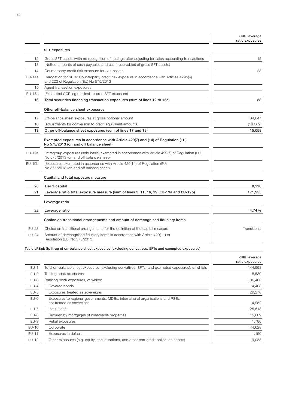|          |                                                                                                                                             | <b>CRR</b> leverage<br>ratio exposures |
|----------|---------------------------------------------------------------------------------------------------------------------------------------------|----------------------------------------|
|          | <b>SFT exposures</b>                                                                                                                        |                                        |
| 12       | Gross SFT assets (with no recognition of netting), after adjusting for sales accounting transactions                                        | 15                                     |
| 13       | (Netted amounts of cash payables and cash receivables of gross SFT assets)                                                                  |                                        |
| 14       | Counterparty credit risk exposure for SFT assets                                                                                            | 23                                     |
| $EU-14a$ | Derogation for SFTs: Counterparty credit risk exposure in accordance with Articles 429b(4)<br>and 222 of Regulation (EU) No 575/2013        |                                        |
| 15       | Agent transaction exposures                                                                                                                 |                                        |
| $EU-15a$ | (Exempted CCP leg of client-cleared SFT exposure)                                                                                           |                                        |
| 16       | Total securities financing transaction exposures (sum of lines 12 to 15a)                                                                   | 38                                     |
|          | Other off-balance sheet exposures                                                                                                           |                                        |
| 17       | Off-balance sheet exposures at gross notional amount                                                                                        | 34,647                                 |
| 18       | (Adjustments for conversion to credit equivalent amounts)                                                                                   | (19, 589)                              |
| 19       | Other off-balance sheet exposures (sum of lines 17 and 18)                                                                                  | 15,058                                 |
|          | Exempted exposures in accordance with Article 429(7) and (14) of Regulation (EU)<br>No 575/2013 (on and off balance sheet)                  |                                        |
| EU-19a   | (Intragroup exposures (solo basis) exempted in accordance with Article 429(7) of Regulation (EU)<br>No 575/2013 (on and off balance sheet)) |                                        |
| EU-19b   | (Exposures exempted in accordance with Article 429(14) of Regulation (EU)<br>No 575/2013 (on and off balance sheet))                        |                                        |
|          | Capital and total exposure measure                                                                                                          |                                        |
| 20       | Tier 1 capital                                                                                                                              | 8,110                                  |
| 21       | Leverage ratio total exposure measure (sum of lines 3, 11, 16, 19, EU-19a and EU-19b)                                                       | 171,255                                |
|          | Leverage ratio                                                                                                                              |                                        |
| 22       | Leverage ratio                                                                                                                              | 4.74%                                  |
|          | Choice on transitional arrangements and amount of derecognised fiduciary items                                                              |                                        |
| EU-23    | Choice on transitional arrangements for the definition of the capital measure                                                               | Transitional                           |
| EU-24    | Amount of derecognised fiduciary items in accordance with Article 429(11) of<br>Regulation (EU) No 575/2013                                 |                                        |

Table LRSpl: Split-up of on-balance sheet exposures (excluding derivatives, SFTs and exempted exposures)

|         |                                                                                                            | <b>CRR</b> leverage<br>ratio exposures |
|---------|------------------------------------------------------------------------------------------------------------|----------------------------------------|
| $EU-1$  | Total on-balance sheet exposures (excluding derivatives, SFTs, and exempted exposures), of which:          | 144,993                                |
| $EU-2$  | Trading book exposures                                                                                     | 8,530                                  |
| $EU-3$  | Banking book exposures, of which:                                                                          | 136,463                                |
| $EU-4$  | Covered bonds                                                                                              | 4,408                                  |
| $EU-5$  | Exposures treated as sovereigns                                                                            | 29,270                                 |
| $EU-6$  | Exposures to regional governments, MDBs, international organisations and PSEs<br>not treated as sovereigns | 4,962                                  |
| $EU-7$  | Institutions                                                                                               | 25,618                                 |
| $EU-8$  | Secured by mortgages of immovable properties                                                               | 15,609                                 |
| $EU-9$  | Retail exposures                                                                                           | 1,780                                  |
| EU-10   | Corporate                                                                                                  | 44,628                                 |
| EU-11   | Exposures in default                                                                                       | 1,150                                  |
| $EU-12$ | Other exposures (e.g. equity, securitisations, and other non-credit obligation assets)                     | 9,038                                  |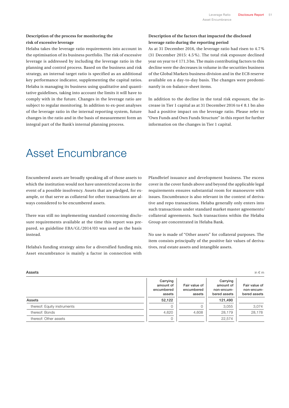### <span id="page-50-0"></span>**Description of the process for monitoring the risk of excessive leverage**

Helaba takes the leverage ratio requirements into account in the optimisation of its business portfolio. The risk of excessive leverage is addressed by including the leverage ratio in the planning and control process. Based on the business and risk strategy, an internal target ratio is specified as an additional key performance indicator, supplementing the capital ratios. Helaba is managing its business using qualitative and quantitative guidelines, taking into account the limits it will have to comply with in the future. Changes in the leverage ratio are subject to regular monitoring. In addition to ex-post analyses of the leverage ratio in the internal reporting system, future changes in the ratio and in the basis of measurement form an integral part of the Bank's internal planning process.

### **Description of the factors that impacted the disclosed leverage ratio during the reporting period**

As at 31 December 2016, the leverage ratio had risen to 4.7 % (31 December 2015: 4.5 %). The total risk exposure declined year on year to  $\epsilon$  171.3 bn. The main contributing factors to this decline were the decreases in volume in the securities business of the Global Markets business division and in the ECB reserve available on a day-to-day basis. The changes were predominantly in on-balance-sheet items.

In addition to the decline in the total risk exposure, the increase in Tier 1 capital as at 31 December 2016 to  $\epsilon$  8.1 bn also had a positive impact on the leverage ratio. Please refer to "Own Funds and Own Funds Structure" in this report for further information on the changes in Tier 1 capital.

### Asset Encumbrance

Encumbered assets are broadly speaking all of those assets to which the institution would not have unrestricted access in the event of a possible insolvency. Assets that are pledged, for example, or that serve as collateral for other transactions are always considered to be encumbered assets.

There was still no implementing standard concerning disclosure requirements available at the time this report was prepared, so guideline EBA/GL/2014/03 was used as the basis instead.

Helaba's funding strategy aims for a diversified funding mix. Asset encumbrance is mainly a factor in connection with Pfandbrief issuance and development business. The excess cover in the cover funds above and beyond the applicable legal requirements ensures substantial room for manoeuvre with issues. Encumbrance is also relevant in the context of derivative and repo transactions. Helaba generally only enters into such transactions under standard market master agreements/ collateral agreements. Such transactions within the Helaba Group are concentrated in Helaba Bank.

No use is made of "Other assets" for collateral purposes. The item consists principally of the positive fair values of derivatives, real estate assets and intangible assets.

| Assets<br>in $\epsilon$ m   |                                               |                                       |                                                     |                                             |
|-----------------------------|-----------------------------------------------|---------------------------------------|-----------------------------------------------------|---------------------------------------------|
|                             | Carrying<br>amount of<br>encumbered<br>assets | Fair value of<br>encumbered<br>assets | Carrying<br>amount of<br>non-encum-<br>bered assets | Fair value of<br>non-encum-<br>bered assets |
| Assets                      | 52,122                                        |                                       | 121,490                                             |                                             |
| thereof: Equity instruments |                                               |                                       | 3.055                                               | 3,074                                       |
| thereof: Bonds              | 4,620                                         | 4,608                                 | 28.179                                              | 28,178                                      |
| thereof: Other assets       | 0                                             |                                       | 22.574                                              |                                             |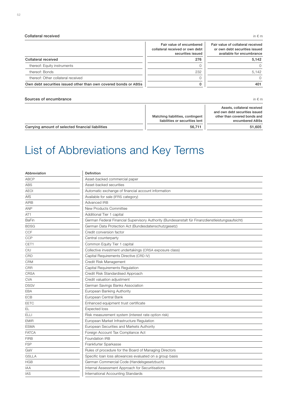| ×<br>۹ |  |
|--------|--|

|                                                                 | Fair value of encumbered<br>collateral received or own debt<br>securities issued | Fair value of collateral received<br>or own debt securities issued<br>available for encumbrance |
|-----------------------------------------------------------------|----------------------------------------------------------------------------------|-------------------------------------------------------------------------------------------------|
| Collateral received                                             | 276                                                                              | 5.142                                                                                           |
| thereof: Equity instruments                                     |                                                                                  | U                                                                                               |
| thereof: Bonds                                                  | 232                                                                              | 5,142                                                                                           |
| thereof: Other collateral received                              |                                                                                  | ∩                                                                                               |
| Own debt securities issued other than own covered bonds or ABSs |                                                                                  | 401                                                                                             |

 $\overline{1}$ 

<span id="page-51-0"></span>Collateral received

|                                                   |                                  | Assets, collateral received    |
|---------------------------------------------------|----------------------------------|--------------------------------|
|                                                   |                                  | and own debt securities issued |
|                                                   | Matching liabilities, contingent | other than covered bonds and   |
|                                                   | liabilities or securities lent   | encumbered ABSs                |
| Carrying amount of selected financial liabilities | 56.711                           | 51.605                         |

# List of Abbreviations and Key Terms

| Abbreviation | Definition                                                                                       |
|--------------|--------------------------------------------------------------------------------------------------|
| <b>ABCP</b>  | Asset-backed commercial paper                                                                    |
| ABS          | Asset-backed securities                                                                          |
| <b>AEOI</b>  | Automatic exchange of financial account information                                              |
| AfS          | Available for sale (IFRS category)                                                               |
| <b>AIRB</b>  | Advanced IRB                                                                                     |
| ANP          | New Products Committee                                                                           |
| AT1          | Additional Tier 1 capital                                                                        |
| <b>BaFin</b> | German Federal Financial Supervisory Authority (Bundesanstalt für Finanzdienstleistungsaufsicht) |
| <b>BDSG</b>  | German Data Protection Act (Bundesdatenschutzgesetz)                                             |
| CCF          | Credit conversion factor                                                                         |
| <b>CCP</b>   | Central counterparty                                                                             |
| CET1         | Common Equity Tier 1 capital                                                                     |
| CIU          | Collective investment undertakings (CRSA exposure class)                                         |
| CRD          | Capital Requirements Directive (CRD IV)                                                          |
| CRM          | Credit Risk Management                                                                           |
| <b>CRR</b>   | Capital Requirements Regulation                                                                  |
| <b>CRSA</b>  | Credit Risk Standardised Approach                                                                |
| <b>CVA</b>   | Credit valuation adjustment                                                                      |
| <b>DSGV</b>  | German Savings Banks Association                                                                 |
| EBA          | European Banking Authority                                                                       |
| ECB          | European Central Bank                                                                            |
| <b>EETC</b>  | Enhanced equipment trust certificate                                                             |
| EL           | <b>Expected loss</b>                                                                             |
| <b>ELLI</b>  | Risk measurement system (interest rate option risk)                                              |
| <b>EMIR</b>  | European Market Infrastructure Regulation                                                        |
| <b>ESMA</b>  | European Securities and Markets Authority                                                        |
| <b>FATCA</b> | Foreign Account Tax Compliance Act                                                               |
| <b>FIRB</b>  | Foundation IRB                                                                                   |
| <b>FSP</b>   | Frankfurter Sparkasse                                                                            |
| GaV          | Rules of procedure for the Board of Managing Directors                                           |
| <b>GSLLA</b> | Specific loan loss allowances evaluated on a group basis                                         |
| HGB          | German Commercial Code (Handelsgesetzbuch)                                                       |
| IAA          | Internal Assessment Approach for Securitisations                                                 |
| IAS          | International Accounting Standards                                                               |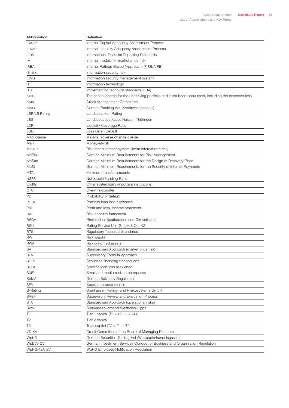| Abbreviation      | Definition                                                                                               |
|-------------------|----------------------------------------------------------------------------------------------------------|
| <b>ICAAP</b>      | Internal Capital Adequacy Assessment Process                                                             |
| <b>ILAAP</b>      | Internal Liquidity Adequacy Assessment Process                                                           |
| <b>IFRS</b>       | International Financial Reporting Standards                                                              |
| IM                | Internal models for market price risk                                                                    |
| <b>IRBA</b>       | Internal Ratings-Based (Approach) (FIRB/AIRB)                                                            |
| IS risk           | Information security risk                                                                                |
| <b>ISMS</b>       | Information security management system                                                                   |
| ΙT                | Information technology                                                                                   |
| <b>ITS</b>        | Implementing technical standards (EBA)                                                                   |
| <b>KIRB</b>       | The capital charge for the underlying portfolio had it not been securitised, including the expected loss |
| KMA               | Credit Management Committee                                                                              |
| <b>KWG</b>        | German Banking Act (Kreditwesengesetz)                                                                   |
| LBR/LB Rating     | Landesbanken Rating                                                                                      |
| <b>LBS</b>        | Landesbausparkasse Hessen-Thüringen                                                                      |
| <b>LCR</b>        | Liquidity Coverage Ratio                                                                                 |
| <b>LGD</b>        | Loss Given Default                                                                                       |
| MAC clause        | Material adverse change clause                                                                           |
| MaR               | Money-at-risk                                                                                            |
| MaRC <sup>2</sup> | Risk measurement system (linear interest rate risk)                                                      |
| MaRisk            | German Minimum Requirements for Risk Management                                                          |
| MaSan             | German Minimum Requirements for the Design of Recovery Plans                                             |
| MaSI              | German Minimum Requirements for the Security of Internet Payments                                        |
| MTA               | Minimum transfer amounts                                                                                 |
| <b>NSFR</b>       | Net Stable Funding Ratio                                                                                 |
| O-SIIs            | Other systemically important institutions                                                                |
| <b>OTC</b>        | Over-the-counter                                                                                         |
| PD                | Probability of default                                                                                   |
| PLLA              | Portfolio Ioan loss allowance                                                                            |
| P&L               | Profit and loss, income statement                                                                        |
| RAF               | Risk appetite framework                                                                                  |
| <b>RSGV</b>       | Rheinischer Sparkassen- und Giroverband                                                                  |
| RSU               | Rating Service Unit GmbH & Co. KG                                                                        |
| <b>RTS</b>        | Regulatory Technical Standards                                                                           |
| RW                | Risk weight                                                                                              |
| <b>RWA</b>        | Risk-weighted assets                                                                                     |
| SA                | Standardised Approach (market price risk)                                                                |
| <b>SFA</b>        | Supervisory Formula Approach                                                                             |
| <b>SFTs</b>       | Securities financing transactions                                                                        |
| SLLA              | Specific loan loss allowance                                                                             |
| SME               | Small and medium-sized enterprises                                                                       |
| SolvV             | German Solvency Regulation                                                                               |
| <b>SPV</b>        | Special purpose vehicle                                                                                  |
| S-Rating          | Sparkassen Rating- und Risikosysteme GmbH                                                                |
| SREP              | Supervisory Review and Evaluation Process                                                                |
| <b>STA</b>        | Standardised Approach (operational risks)                                                                |
| SVWL              | Sparkassenverband Westfalen-Lippe                                                                        |
| T1                | Tier 1 capital $(T1 = CET1 + AT1)$                                                                       |
| Τ2                | Tier 2 capital                                                                                           |
| ТC                | Total capital (TC = $T1 + T2$ )                                                                          |
| VS-KA             | Credit Committee of the Board of Managing Directors                                                      |
| WpHG              | German Securities Trading Act (Wertpapierhandelsgesetz)                                                  |
| WpDVerOV          | German Investment Services Conduct of Business and Organisation Regulation                               |
| WpHGMaAnzV        | WpHG Employee Notification Regulation                                                                    |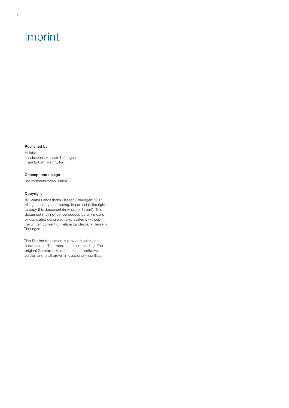### Imprint

#### Published by

Helaba Landesbank Hessen-Thüringen Frankfurt am Main/Erfurt

Concept and design 3st kommunikation, Mainz

### Copyright

© Helaba Landesbank Hessen-Thüringen, 2017 All rights reserved including, in particular, the right to copy this document (in whole or in part). This document may not be reproduced by any means or duplicated using electronic systems without the written consent of Helaba Landesbank Hessen-Thüringen.

This English translation is provided solely for convenience. The translation is not binding. The original German text is the sole authoritative version and shall prevail in case of any conflict.